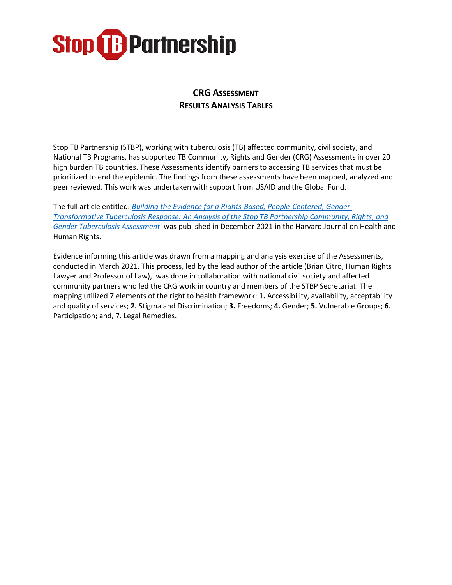#### **CRG ASSESSMENT RESULTS ANALYSIS TABLES**

Stop TB Partnership (STBP), working with tuberculosis (TB) affected community, civil society, and National TB Programs, has supported TB Community, Rights and Gender (CRG) Assessments in over 20 high burden TB countries. These Assessments identify barriers to accessing TB services that must be prioritized to end the epidemic. The findings from these assessments have been mapped, analyzed and peer reviewed. This work was undertaken with support from USAID and the Global Fund.

The full article entitled: *[Building the Evidence for a Rights-Based, People-Centered, Gender-](https://www.hhrjournal.org/2021/12/building-the-evidence-for-a-rights-based-people-centered-gender-transformative-tuberculosis-response-an-analysis-of-the-stop-tb-partnership-community-rights-and-gender-tuberculosis-assessment/)[Transformative Tuberculosis Response: An Analysis of the Stop TB Partnership Community, Rights, and](https://www.hhrjournal.org/2021/12/building-the-evidence-for-a-rights-based-people-centered-gender-transformative-tuberculosis-response-an-analysis-of-the-stop-tb-partnership-community-rights-and-gender-tuberculosis-assessment/)  [Gender Tuberculosis Assessment](https://www.hhrjournal.org/2021/12/building-the-evidence-for-a-rights-based-people-centered-gender-transformative-tuberculosis-response-an-analysis-of-the-stop-tb-partnership-community-rights-and-gender-tuberculosis-assessment/)* was published in December 2021 in the Harvard Journal on Health and Human Rights.

Evidence informing this article was drawn from a mapping and analysis exercise of the Assessments, conducted in March 2021. This process, led by the lead author of the article (Brian Citro, Human Rights Lawyer and Professor of Law), was done in collaboration with national civil society and affected community partners who led the CRG work in country and members of the STBP Secretariat. The mapping utilized 7 elements of the right to health framework: **1.** Accessibility, availability, acceptability and quality of services; **2.** Stigma and Discrimination; **3.** Freedoms; **4.** Gender; **5.** Vulnerable Groups; **6.**  Participation; and, 7. Legal Remedies.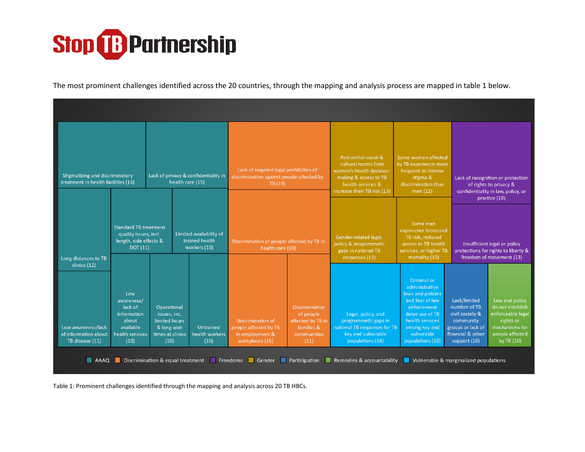

The most prominent challenges identified across the 20 countries, through the mapping and analysis process are mapped in table 1 below.

|                                                                               | <b>Stigmatizing and discriminatory</b><br>Lack of privacy & confidentiality in<br>treatment in health facilities (16)<br>health care (15) |                                                                                         |                                                           | Lack of targeted legal prohibition of<br>discrimination against people affected by<br>TB (19)                                                                                           |  | Patriarchal social &<br>cultural norms limit<br>women's health decision-<br>making & access to TB<br>health services &<br>increase their TB risk (13) | Some women affected<br>by TB experience more<br>frequent or intense<br>stigma &<br>discrimination than<br>men (12)                                                            | Lack of recognition or protection<br>of rights to privacy &<br>confidentiality in law, policy, or<br>practice (18)     |                                                                                                                         |
|-------------------------------------------------------------------------------|-------------------------------------------------------------------------------------------------------------------------------------------|-----------------------------------------------------------------------------------------|-----------------------------------------------------------|-----------------------------------------------------------------------------------------------------------------------------------------------------------------------------------------|--|-------------------------------------------------------------------------------------------------------------------------------------------------------|-------------------------------------------------------------------------------------------------------------------------------------------------------------------------------|------------------------------------------------------------------------------------------------------------------------|-------------------------------------------------------------------------------------------------------------------------|
| Long distances to TB                                                          | <b>Standard TB treatment</b><br>quality issues, incl.<br>length, side effects &<br><b>DOT</b> (11)                                        |                                                                                         | Limited availability of<br>trained health<br>workers (10) | Discrimination of people affected by TB in<br>health care (18)                                                                                                                          |  | Gender-related legal,<br>policy & programmatic<br>gaps in national TB<br>responses (12)                                                               | Some men<br>experience increased<br>TB risk, reduced<br>access to TB health<br>services, or higher TB<br>mortality (10)                                                       | Insufficient legal or policy<br>protections for rights to liberty &<br>freedom of movement (13)                        |                                                                                                                         |
| clinics (12)<br>Low awareness/lack<br>of information about<br>TB disease (11) | Low<br>awareness/<br>lack of<br>information<br>about<br>available<br>health services<br>(10)                                              | Operational<br>issues, inc.<br>limited hours<br>& long wait<br>times at clinics<br>(10) | <b>Untrained</b><br>health workers<br>(10)                | <b>Discrimination</b><br>of people<br><b>Discrimination of</b><br>affected by TB in<br>people affected by TB<br>families &<br>in employment &<br>communities<br>workplaces (15)<br>(11) |  | Legal, policy, and<br>programmatic gaps in<br>national TB responses for TB<br>key and vulnerable<br>populations (16)                                  | Criminal or<br>administrative<br>laws and policies<br>and fear of law<br>enforcement<br>deter use of TB<br>health services<br>among key and<br>vulnerable<br>populations (10) | Lack/limited<br>number of TB<br>civil society &<br>community<br>groups or lack of<br>financial & other<br>support (10) | Law and policy<br>do not establish<br>enforceable legal<br>rights or<br>mechanisms for<br>people affected<br>by TB (10) |
| AAAQ                                                                          |                                                                                                                                           |                                                                                         |                                                           |                                                                                                                                                                                         |  | Discrimination & equal treatment Freedoms Gender Participation Remedies & accountability Vulnerable & marginalized populations                        |                                                                                                                                                                               |                                                                                                                        |                                                                                                                         |

Table 1: Prominent challenges identified through the mapping and analysis across 20 TB HBCs.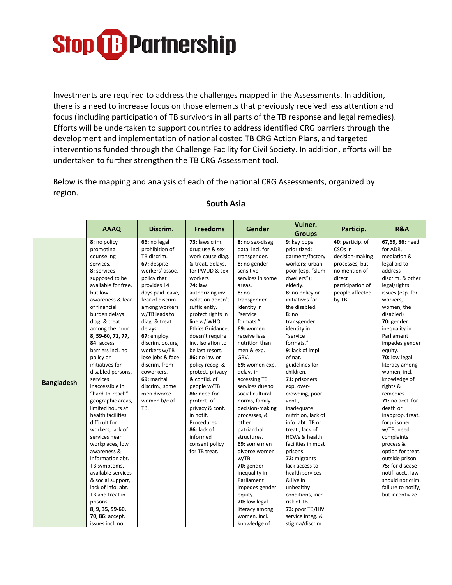Investments are required to address the challenges mapped in the Assessments. In addition, there is a need to increase focus on those elements that previously received less attention and focus (including participation of TB survivors in all parts of the TB response and legal remedies). Efforts will be undertaken to support countries to address identified CRG barriers through the development and implementation of national costed TB CRG Action Plans, and targeted interventions funded through the Challenge Facility for Civil Society. In addition, efforts will be undertaken to further strengthen the TB CRG Assessment tool.

Below is the mapping and analysis of each of the national CRG Assessments, organized by region.

|                   | <b>AAAQ</b>                                                                                                                                                                                                                                                                                                                                                                                                                                                                                                                                                                                                                                                                                                                         | Discrim.                                                                                                                                                                                                                                                                                                                                                                                          | <b>Freedoms</b>                                                                                                                                                                                                                                                                                                                                                                                                                                                                                                                         | Gender                                                                                                                                                                                                                                                                                                                                                                                                                                                                                                                                                                                                                      | Vulner.<br><b>Groups</b>                                                                                                                                                                                                                                                                                                                                                                                                                                                                                                                                                                                                                                                  | Particip.                                                                                                                                                | <b>R&amp;A</b>                                                                                                                                                                                                                                                                                                                                                                                                                                                                                                                                                                                        |
|-------------------|-------------------------------------------------------------------------------------------------------------------------------------------------------------------------------------------------------------------------------------------------------------------------------------------------------------------------------------------------------------------------------------------------------------------------------------------------------------------------------------------------------------------------------------------------------------------------------------------------------------------------------------------------------------------------------------------------------------------------------------|---------------------------------------------------------------------------------------------------------------------------------------------------------------------------------------------------------------------------------------------------------------------------------------------------------------------------------------------------------------------------------------------------|-----------------------------------------------------------------------------------------------------------------------------------------------------------------------------------------------------------------------------------------------------------------------------------------------------------------------------------------------------------------------------------------------------------------------------------------------------------------------------------------------------------------------------------------|-----------------------------------------------------------------------------------------------------------------------------------------------------------------------------------------------------------------------------------------------------------------------------------------------------------------------------------------------------------------------------------------------------------------------------------------------------------------------------------------------------------------------------------------------------------------------------------------------------------------------------|---------------------------------------------------------------------------------------------------------------------------------------------------------------------------------------------------------------------------------------------------------------------------------------------------------------------------------------------------------------------------------------------------------------------------------------------------------------------------------------------------------------------------------------------------------------------------------------------------------------------------------------------------------------------------|----------------------------------------------------------------------------------------------------------------------------------------------------------|-------------------------------------------------------------------------------------------------------------------------------------------------------------------------------------------------------------------------------------------------------------------------------------------------------------------------------------------------------------------------------------------------------------------------------------------------------------------------------------------------------------------------------------------------------------------------------------------------------|
| <b>Bangladesh</b> | 8: no policy<br>promoting<br>counseling<br>services.<br>8: services<br>supposed to be<br>available for free,<br>but low<br>awareness & fear<br>of financial<br>burden delays<br>diag. & treat<br>among the poor.<br>8, 59-60, 71, 77,<br>84: access<br>barriers incl. no<br>policy or<br>initiatives for<br>disabled persons,<br>services<br>inaccessible in<br>"hard-to-reach"<br>geographic areas,<br>limited hours at<br>health facilities<br>difficult for<br>workers, lack of<br>services near<br>workplaces, low<br>awareness &<br>information abt.<br>TB symptoms,<br>available services<br>& social support,<br>lack of info. abt.<br>TB and treat in<br>prisons.<br>8, 9, 35, 59-60,<br>70, 86: accept.<br>issues incl. no | 66: no legal<br>prohibition of<br>TB discrim.<br>67: despite<br>workers' assoc.<br>policy that<br>provides 14<br>days paid leave,<br>fear of discrim.<br>among workers<br>w/TB leads to<br>diag. & treat.<br>delays.<br>67: employ.<br>discrim. occurs,<br>workers w/TB<br>lose jobs & face<br>discrim. from<br>coworkers.<br>69: marital<br>discrim., some<br>men divorce<br>women b/c of<br>TB. | 73: laws crim.<br>drug use & sex<br>work cause diag.<br>& treat. delays.<br>for PWUD & sex<br>workers<br><b>74: law</b><br>authorizing inv.<br>isolation doesn't<br>sufficiently.<br>protect rights in<br>line w/ WHO<br>Ethics Guidance,<br>doesn't require<br>inv. Isolation to<br>be last resort.<br>86: no law or<br>policy recog. &<br>protect. privacy<br>& confid. of<br>people w/TB<br>86: need for<br>protect. of<br>privacy & conf.<br>in notif.<br>Procedures.<br>86: lack of<br>informed<br>consent policy<br>for TB treat. | 8: no sex-disag.<br>data, incl. for<br>transgender.<br>8: no gender<br>sensitive<br>services in some<br>areas.<br>8:no<br>transgender<br>identity in<br>"service<br>formats."<br>69: women<br>receive less<br>nutrition than<br>men & exp.<br>GBV.<br>69: women exp.<br>delays in<br>accessing TB<br>services due to<br>social-cultural<br>norms, family<br>decision-making<br>processes, &<br>other<br>patriarchal<br>structures.<br>69: some men<br>divorce women<br>w/TB.<br>$70:$ gender<br>inequality in<br>Parliament<br>impedes gender<br>equity.<br>70: low legal<br>literacy among<br>women, incl.<br>knowledge of | 9: key pops<br>prioritized:<br>garment/factory<br>workers; urban<br>poor (esp. "slum<br>dwellers");<br>elderly.<br>8: no policy or<br>initiatives for<br>the disabled.<br>8:no<br>transgender<br>identity in<br>"service<br>formats."<br>9: lack of impl.<br>of nat.<br>guidelines for<br>children.<br>71: prisoners<br>exp. over-<br>crowding, poor<br>vent.,<br>inadequate<br>nutrition, lack of<br>info. abt. TB or<br>treat., lack of<br>HCWs & health<br>facilities in most<br>prisons.<br>72: migrants<br>lack access to<br>health services<br>& live in<br>unhealthy<br>conditions, incr.<br>risk of TB.<br>73: poor TB/HIV<br>service integ. &<br>stigma/discrim. | 40: particip. of<br>CSO <sub>s</sub> in<br>decision-making<br>processes, but<br>no mention of<br>direct<br>participation of<br>people affected<br>by TB. | 67,69, 86: need<br>for ADR,<br>mediation &<br>legal aid to<br>address<br>discrim. & other<br>legal/rights<br>issues (esp. for<br>workers,<br>women, the<br>disabled)<br>70: gender<br>inequality in<br>Parliament<br>impedes gender<br>equity.<br>70: low legal<br>literacy among<br>women, incl.<br>knowledge of<br>rights &<br>remedies.<br>71: no acct. for<br>death or<br>inapprop. treat.<br>for prisoner<br>w/TB, need<br>complaints<br>process &<br>option for treat.<br>outside prison.<br>75: for disease<br>notif. acct., law<br>should not crim.<br>failure to notify,<br>but incentivize. |

#### **South Asia**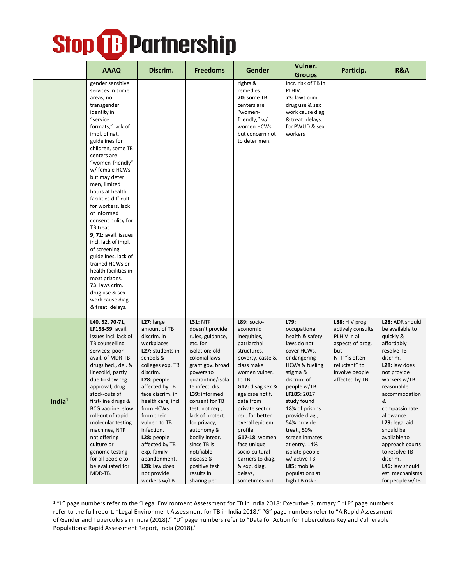|           | <b>AAAQ</b>                                                                                                                                                                                                                                                                                                                                                                                                                                                                                                                                                                                                    | Discrim.                                                                                                                                                                                                                                                                                                                                                                       | <b>Freedoms</b>                                                                                                                                                                                                                                                                                                                                                                                  | <b>Gender</b>                                                                                                                                                                                                                                                                                                                                                                           | Vulner.<br><b>Groups</b>                                                                                                                                                                                                                                                                                                                                                              | Particip.                                                                                                                                             | <b>R&amp;A</b>                                                                                                                                                                                                                                                                                                                                                     |
|-----------|----------------------------------------------------------------------------------------------------------------------------------------------------------------------------------------------------------------------------------------------------------------------------------------------------------------------------------------------------------------------------------------------------------------------------------------------------------------------------------------------------------------------------------------------------------------------------------------------------------------|--------------------------------------------------------------------------------------------------------------------------------------------------------------------------------------------------------------------------------------------------------------------------------------------------------------------------------------------------------------------------------|--------------------------------------------------------------------------------------------------------------------------------------------------------------------------------------------------------------------------------------------------------------------------------------------------------------------------------------------------------------------------------------------------|-----------------------------------------------------------------------------------------------------------------------------------------------------------------------------------------------------------------------------------------------------------------------------------------------------------------------------------------------------------------------------------------|---------------------------------------------------------------------------------------------------------------------------------------------------------------------------------------------------------------------------------------------------------------------------------------------------------------------------------------------------------------------------------------|-------------------------------------------------------------------------------------------------------------------------------------------------------|--------------------------------------------------------------------------------------------------------------------------------------------------------------------------------------------------------------------------------------------------------------------------------------------------------------------------------------------------------------------|
|           | gender sensitive<br>services in some<br>areas, no<br>transgender<br>identity in<br>"service<br>formats," lack of<br>impl. of nat.<br>guidelines for<br>children, some TB<br>centers are<br>"women-friendly"<br>w/ female HCWs<br>but may deter<br>men, limited<br>hours at health<br>facilities difficult<br>for workers, lack<br>of informed<br>consent policy for<br>TB treat.<br>9, 71: avail. issues<br>incl. lack of impl.<br>of screening<br>guidelines, lack of<br>trained HCWs or<br>health facilities in<br>most prisons.<br>73: laws crim.<br>drug use & sex<br>work cause diag.<br>& treat. delays. |                                                                                                                                                                                                                                                                                                                                                                                |                                                                                                                                                                                                                                                                                                                                                                                                  | rights &<br>remedies.<br><b>70: some TB</b><br>centers are<br>"women-<br>friendly," w/<br>women HCWs,<br>but concern not<br>to deter men.                                                                                                                                                                                                                                               | incr. risk of TB in<br>PLHIV.<br>73: laws crim.<br>drug use & sex<br>work cause diag.<br>& treat. delays.<br>for PWUD & sex<br>workers                                                                                                                                                                                                                                                |                                                                                                                                                       |                                                                                                                                                                                                                                                                                                                                                                    |
| India $1$ | L40, 52, 70-71,<br>LF158-59: avail.<br>issues incl. lack of<br>TB counselling<br>services; poor<br>avail. of MDR-TB<br>drugs bed., del. &<br>linezolid, partly<br>due to slow reg.<br>approval; drug<br>stock-outs of<br>first-line drugs &<br>BCG vaccine; slow<br>roll-out of rapid<br>molecular testing<br>machines, NTP<br>not offering<br>culture or<br>genome testing<br>for all people to<br>be evaluated for<br>MDR-TB.                                                                                                                                                                                | L27: large<br>amount of TB<br>discrim. in<br>workplaces.<br>L27: students in<br>schools &<br>colleges exp. TB<br>discrim.<br>L28: people<br>affected by TB<br>face discrim. in<br>health care, incl.<br>from HCWs<br>from their<br>vulner. to TB<br>infection.<br>L28: people<br>affected by TB<br>exp. family<br>abandonment.<br>L28: law does<br>not provide<br>workers w/TB | <b>L31: NTP</b><br>doesn't provide<br>rules, guidance,<br>etc. for<br>isolation; old<br>colonial laws<br>grant gov. broad<br>powers to<br>quarantine/isola<br>te infect. dis.<br>L39: informed<br>consent for TB<br>test. not req.,<br>lack of protect.<br>for privacy,<br>autonomy &<br>bodily integr.<br>since TB is<br>notifiable<br>disease &<br>positive test<br>results in<br>sharing per. | <b>L89: socio-</b><br>economic<br>inequities,<br>patriarchal<br>structures,<br>poverty, caste &<br>class make<br>women vulner.<br>to TB.<br>$G17:$ disag sex $&$<br>age case notif.<br>data from<br>private sector<br>reg. for better<br>overall epidem.<br>profile.<br>G17-18: women<br>face unique<br>socio-cultural<br>barriers to diag.<br>& exp. diag.<br>delays,<br>sometimes not | L79:<br>occupational<br>health & safety<br>laws do not<br>cover HCWs,<br>endangering<br><b>HCWs &amp; fueling</b><br>stigma &<br>discrim. of<br>people w/TB.<br>LF185: 2017<br>study found<br>18% of prisons<br>provide diag.,<br>54% provide<br>treat., 50%<br>screen inmates<br>at entry, 14%<br>isolate people<br>w/ active TB.<br>L85: mobile<br>populations at<br>high TB risk - | L88: HIV prog.<br>actively consults<br>PLHIV in all<br>aspects of prog.<br>but<br>NTP "is often<br>reluctant" to<br>involve people<br>affected by TB. | L28: ADR should<br>be available to<br>quickly &<br>affordably<br>resolve TB<br>discrim.<br>L28: law does<br>not provide<br>workers w/TB<br>reasonable<br>accommodation<br>&<br>compassionate<br>allowance.<br>L29: legal aid<br>should be<br>available to<br>approach courts<br>to resolve TB<br>discrim.<br>L46: law should<br>est. mechanisms<br>for people w/TB |

<sup>&</sup>lt;sup>1</sup> "L" page numbers refer to the "Legal Environment Assessment for TB in India 2018: Executive Summary." "LF" page numbers refer to the full report, "Legal Environment Assessment for TB in India 2018." "G" page numbers refer to "A Rapid Assessment of Gender and Tuberculosis in India (2018)." "D" page numbers refer to "Data for Action for Tuberculosis Key and Vulnerable Populations: Rapid Assessment Report, India (2018)."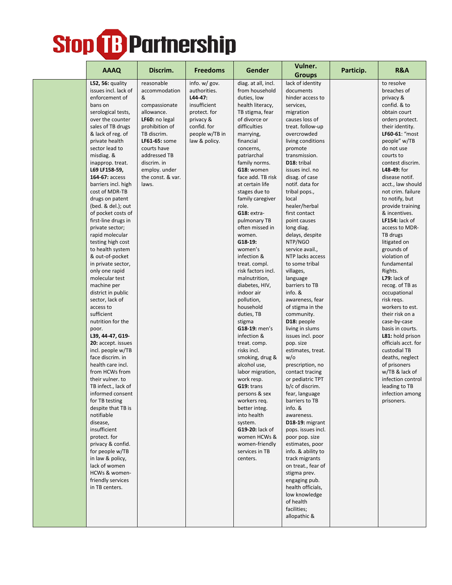|  |                                       |                               |                                 |                                     | Vulner.                            |           | <b>R&amp;A</b>                    |
|--|---------------------------------------|-------------------------------|---------------------------------|-------------------------------------|------------------------------------|-----------|-----------------------------------|
|  | <b>AAAQ</b>                           | Discrim.                      | <b>Freedoms</b>                 | <b>Gender</b>                       | <b>Groups</b>                      | Particip. |                                   |
|  | L52, 56: quality                      | reasonable                    | info. $w$ / gov.                | diag. at all, incl.                 | lack of identity                   |           | to resolve                        |
|  | issues incl. lack of                  | accommodation                 | authorities.                    | from household                      | documents                          |           | breaches of                       |
|  | enforcement of                        | &                             | L44-47:                         | duties, low                         | hinder access to                   |           | privacy &                         |
|  | bans on                               | compassionate                 | insufficient                    | health literacy,                    | services,                          |           | confid. & to                      |
|  | serological tests,                    | allowance.                    | protect. for                    | TB stigma, fear                     | migration                          |           | obtain court                      |
|  | over the counter                      | LF60: no legal                | privacy &                       | of divorce or                       | causes loss of                     |           | orders protect.                   |
|  | sales of TB drugs                     | prohibition of<br>TB discrim. | confid. for                     | difficulties                        | treat. follow-up<br>overcrowded    |           | their identity.<br>LF60-61: "most |
|  | & lack of reg. of<br>private health   | LF61-65: some                 | people w/TB in<br>law & policy. | marrying,<br>financial              | living conditions                  |           | people" w/TB                      |
|  | sector lead to                        | courts have                   |                                 | concerns,                           | promote                            |           | do not use                        |
|  | misdiag. &                            | addressed TB                  |                                 | patriarchal                         | transmission.                      |           | courts to                         |
|  | inapprop. treat.                      | discrim. in                   |                                 | family norms.                       | D18: tribal                        |           | contest discrim.                  |
|  | L69 LF158-59,                         | employ. under                 |                                 | G18: women                          | issues incl. no                    |           | L48-49: for                       |
|  | 164-67: access                        | the const. & var.             |                                 | face add. TB risk                   | disag. of case                     |           | disease notif.                    |
|  | barriers incl. high                   | laws.                         |                                 | at certain life                     | notif. data for                    |           | acct., law should                 |
|  | cost of MDR-TB                        |                               |                                 | stages due to                       | tribal pops.,                      |           | not crim. failure                 |
|  | drugs on patent                       |                               |                                 | family caregiver                    | local                              |           | to notify, but                    |
|  | (bed. & del.); out                    |                               |                                 | role.                               | healer/herbal                      |           | provide training                  |
|  | of pocket costs of                    |                               |                                 | G18: extra-                         | first contact                      |           | & incentives.                     |
|  | first-line drugs in                   |                               |                                 | pulmonary TB                        | point causes                       |           | LF154: lack of                    |
|  | private sector;                       |                               |                                 | often missed in                     | long diag.                         |           | access to MDR-                    |
|  | rapid molecular                       |                               |                                 | women.                              | delays, despite                    |           | TB drugs                          |
|  | testing high cost                     |                               |                                 | G18-19:                             | NTP/NGO                            |           | litigated on                      |
|  | to health system                      |                               |                                 | women's                             | service avail.,                    |           | grounds of                        |
|  | & out-of-pocket<br>in private sector, |                               |                                 | infection &                         | NTP lacks access<br>to some tribal |           | violation of<br>fundamental       |
|  | only one rapid                        |                               |                                 | treat. compl.<br>risk factors incl. | villages,                          |           | Rights.                           |
|  | molecular test                        |                               |                                 | malnutrition,                       | language                           |           | $L79:$ lack of                    |
|  | machine per                           |                               |                                 | diabetes, HIV,                      | barriers to TB                     |           | recog. of TB as                   |
|  | district in public                    |                               |                                 | indoor air                          | info. &                            |           | occupational                      |
|  | sector, lack of                       |                               |                                 | pollution,                          | awareness, fear                    |           | risk regs.                        |
|  | access to                             |                               |                                 | household                           | of stigma in the                   |           | workers to est.                   |
|  | sufficient                            |                               |                                 | duties, TB                          | community.                         |           | their risk on a                   |
|  | nutrition for the                     |                               |                                 | stigma                              | D18: people                        |           | case-by-case                      |
|  | poor.                                 |                               |                                 | G18-19: men's                       | living in slums                    |           | basis in courts.                  |
|  | L39, 44-47, G19-                      |                               |                                 | infection &                         | issues incl. poor                  |           | L81: hold prison                  |
|  | 20: accept. issues                    |                               |                                 | treat. comp.                        | pop. size                          |           | officials acct. for               |
|  | incl. people w/TB<br>face discrim. in |                               |                                 | risks incl.                         | estimates, treat.                  |           | custodial TB                      |
|  | health care incl.                     |                               |                                 | smoking, drug &<br>alcohol use,     | w/o<br>prescription, no            |           | deaths, neglect<br>of prisoners   |
|  | from HCWs from                        |                               |                                 | labor migration,                    | contact tracing                    |           | w/TB & lack of                    |
|  | their vulner. to                      |                               |                                 | work resp.                          | or pediatric TPT                   |           | infection control                 |
|  | TB infect., lack of                   |                               |                                 | G19: trans                          | b/c of discrim.                    |           | leading to TB                     |
|  | informed consent                      |                               |                                 | persons & sex                       | fear, language                     |           | infection among                   |
|  | for TB testing                        |                               |                                 | workers req.                        | barriers to TB                     |           | prisoners.                        |
|  | despite that TB is                    |                               |                                 | better integ.                       | info. &                            |           |                                   |
|  | notifiable                            |                               |                                 | into health                         | awareness.                         |           |                                   |
|  | disease,                              |                               |                                 | system.                             | D <sub>18</sub> -19: migrant       |           |                                   |
|  | insufficient                          |                               |                                 | <b>G19-20:</b> lack of              | pops. issues incl.                 |           |                                   |
|  | protect. for                          |                               |                                 | women HCWs &                        | poor pop. size                     |           |                                   |
|  | privacy & confid.                     |                               |                                 | women-friendly                      | estimates, poor                    |           |                                   |
|  | for people w/TB                       |                               |                                 | services in TB                      | info. & ability to                 |           |                                   |
|  | in law & policy,                      |                               |                                 | centers.                            | track migrants                     |           |                                   |
|  | lack of women                         |                               |                                 |                                     | on treat., fear of                 |           |                                   |
|  | HCWs & women-<br>friendly services    |                               |                                 |                                     | stigma prev.<br>engaging pub.      |           |                                   |
|  | in TB centers.                        |                               |                                 |                                     | health officials,                  |           |                                   |
|  |                                       |                               |                                 |                                     | low knowledge                      |           |                                   |
|  |                                       |                               |                                 |                                     | of health                          |           |                                   |
|  |                                       |                               |                                 |                                     | facilities;                        |           |                                   |
|  |                                       |                               |                                 |                                     | allopathic &                       |           |                                   |
|  |                                       |                               |                                 |                                     |                                    |           |                                   |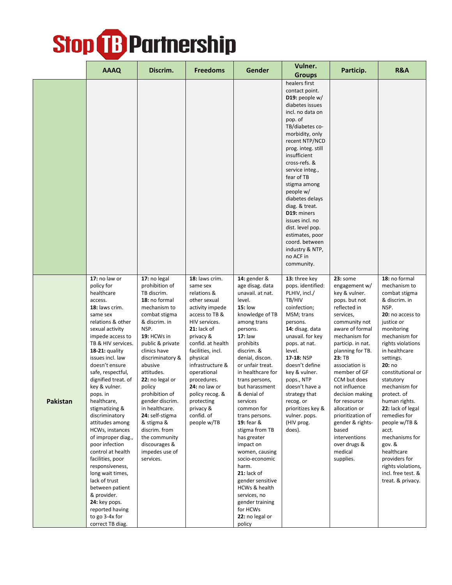|          | <b>AAAQ</b>                                                                                                                                                                                                                                                                                                                                                                                                                                                                                                                                                                                                                                            | Discrim.                                                                                                                                                                                                                                                                                                                                                                                                                        | <b>Freedoms</b>                                                                                                                                                                                                                                                                                                                                   | Gender                                                                                                                                                                                                                                                                                                                                                                                                                                                                                                                                                                    | Vulner.                                                                                                                                                                                                                                                                                                                                                                                                                                                                           | Particip.                                                                                                                                                                                                                                                                                                                                                                                                                            | <b>R&amp;A</b>                                                                                                                                                                                                                                                                                                                                                                                                                                                                      |
|----------|--------------------------------------------------------------------------------------------------------------------------------------------------------------------------------------------------------------------------------------------------------------------------------------------------------------------------------------------------------------------------------------------------------------------------------------------------------------------------------------------------------------------------------------------------------------------------------------------------------------------------------------------------------|---------------------------------------------------------------------------------------------------------------------------------------------------------------------------------------------------------------------------------------------------------------------------------------------------------------------------------------------------------------------------------------------------------------------------------|---------------------------------------------------------------------------------------------------------------------------------------------------------------------------------------------------------------------------------------------------------------------------------------------------------------------------------------------------|---------------------------------------------------------------------------------------------------------------------------------------------------------------------------------------------------------------------------------------------------------------------------------------------------------------------------------------------------------------------------------------------------------------------------------------------------------------------------------------------------------------------------------------------------------------------------|-----------------------------------------------------------------------------------------------------------------------------------------------------------------------------------------------------------------------------------------------------------------------------------------------------------------------------------------------------------------------------------------------------------------------------------------------------------------------------------|--------------------------------------------------------------------------------------------------------------------------------------------------------------------------------------------------------------------------------------------------------------------------------------------------------------------------------------------------------------------------------------------------------------------------------------|-------------------------------------------------------------------------------------------------------------------------------------------------------------------------------------------------------------------------------------------------------------------------------------------------------------------------------------------------------------------------------------------------------------------------------------------------------------------------------------|
|          |                                                                                                                                                                                                                                                                                                                                                                                                                                                                                                                                                                                                                                                        |                                                                                                                                                                                                                                                                                                                                                                                                                                 |                                                                                                                                                                                                                                                                                                                                                   |                                                                                                                                                                                                                                                                                                                                                                                                                                                                                                                                                                           | <b>Groups</b><br>healers first<br>contact point.<br>D19: people $w/$<br>diabetes issues<br>incl. no data on<br>pop. of<br>TB/diabetes co-<br>morbidity, only<br>recent NTP/NCD<br>prog. integ. still<br>insufficient<br>cross-refs. &<br>service integ.,<br>fear of TB<br>stigma among<br>people w/<br>diabetes delays<br>diag. & treat.<br>D19: miners<br>issues incl. no<br>dist. level pop.<br>estimates, poor<br>coord. between<br>industry & NTP,<br>no ACF in<br>community. |                                                                                                                                                                                                                                                                                                                                                                                                                                      |                                                                                                                                                                                                                                                                                                                                                                                                                                                                                     |
| Pakistan | 17: no law or<br>policy for<br>healthcare<br>access.<br>18: laws crim.<br>same sex<br>relations & other<br>sexual activity<br>impede access to<br>TB & HIV services.<br>$18-21$ : quality<br>issues incl. law<br>doesn't ensure<br>safe, respectful,<br>dignified treat. of<br>key & vulner.<br>pops. in<br>healthcare,<br>stigmatizing &<br>discriminatory<br>attitudes among<br>HCWs, instances<br>of improper diag.,<br>poor infection<br>control at health<br>facilities, poor<br>responsiveness,<br>long wait times,<br>lack of trust<br>between patient<br>& provider.<br>24: key pops.<br>reported having<br>to go 3-4x for<br>correct TB diag. | 17: no legal<br>prohibition of<br>TB discrim.<br>18: no formal<br>mechanism to<br>combat stigma<br>& discrim. in<br>NSP.<br>19: HCWs in<br>public & private<br>clinics have<br>discriminatory &<br>abusive<br>attitudes.<br>22: no legal or<br>policy<br>prohibition of<br>gender discrim.<br>in healthcare.<br>24: self-stigma<br>& stigma &<br>discrim. from<br>the community<br>discourages &<br>impedes use of<br>services. | 18: laws crim.<br>same sex<br>relations &<br>other sexual<br>activity impede<br>access to TB &<br>HIV services.<br>$21:$ lack of<br>privacy &<br>confid. at health<br>facilities, incl.<br>physical<br>infrastructure &<br>operational<br>procedures.<br>24: no law or<br>policy recog. &<br>protecting<br>privacy &<br>confid. of<br>people w/TB | 14: gender &<br>age disag. data<br>unavail. at nat.<br>level.<br><b>15: low</b><br>knowledge of TB<br>among trans<br>persons.<br>17: law<br>prohibits<br>discrim. &<br>denial, discon.<br>or unfair treat.<br>in healthcare for<br>trans persons,<br>but harassment<br>& denial of<br>services<br>common for<br>trans persons.<br>19: fear &<br>stigma from TB<br>has greater<br>impact on<br>women, causing<br>socio-economic<br>harm.<br>$21:$ lack of<br>gender sensitive<br>HCWs & health<br>services, no<br>gender training<br>for HCWs<br>22: no legal or<br>policy | 13: three key<br>pops. identified:<br>PLHIV, incl./<br>TB/HIV<br>coinfection;<br>MSM; trans<br>persons.<br>14: disag. data<br>unavail. for key<br>pops. at nat.<br>level.<br>17-18: NSP<br>doesn't define<br>key & vulner.<br>pops., NTP<br>doesn't have a<br>strategy that<br>recog. or<br>prioritizes key &<br>vulner. pops.<br>(HIV prog.<br>does).                                                                                                                            | 23: some<br>engagement $w/$<br>key & vulner.<br>pops. but not<br>reflected in<br>services,<br>community not<br>aware of formal<br>mechanism for<br>particip. in nat.<br>planning for TB.<br>23: TB<br>association is<br>member of GF<br>CCM but does<br>not influence<br>decision making<br>for resource<br>allocation or<br>prioritization of<br>gender & rights-<br>based<br>interventions<br>over drugs &<br>medical<br>supplies. | 18: no formal<br>mechanism to<br>combat stigma<br>& discrim. in<br>NSP.<br>20: no access to<br>justice or<br>monitoring<br>mechanism for<br>rights violations<br>in healthcare<br>settings.<br>20: no<br>constitutional or<br>statutory<br>mechanism for<br>protect. of<br>human rights.<br>22: lack of legal<br>remedies for<br>people w/TB &<br>acct.<br>mechanisms for<br>gov. &<br>healthcare<br>providers for<br>rights violations,<br>incl. free test. &<br>treat. & privacy. |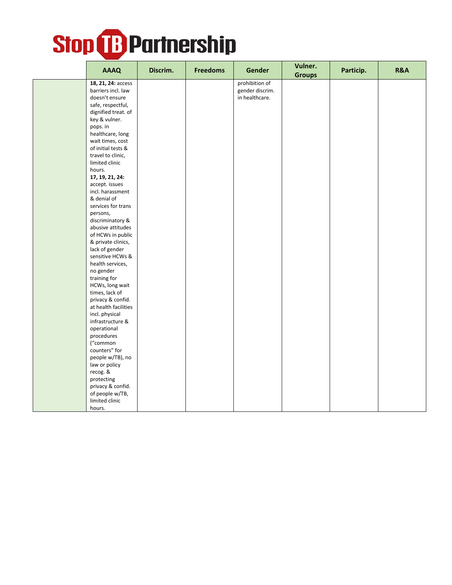

| <b>AAAQ</b>                              | Discrim. | <b>Freedoms</b> | Gender                            | Vulner.<br><b>Groups</b> | Particip. | R&A |
|------------------------------------------|----------|-----------------|-----------------------------------|--------------------------|-----------|-----|
| 18, 21, 24: access<br>barriers incl. law |          |                 | prohibition of<br>gender discrim. |                          |           |     |
| doesn't ensure                           |          |                 | in healthcare.                    |                          |           |     |
| safe, respectful,                        |          |                 |                                   |                          |           |     |
| dignified treat. of                      |          |                 |                                   |                          |           |     |
| key & vulner.                            |          |                 |                                   |                          |           |     |
| pops. in                                 |          |                 |                                   |                          |           |     |
| healthcare, long                         |          |                 |                                   |                          |           |     |
| wait times, cost                         |          |                 |                                   |                          |           |     |
| of initial tests &                       |          |                 |                                   |                          |           |     |
| travel to clinic,                        |          |                 |                                   |                          |           |     |
| limited clinic                           |          |                 |                                   |                          |           |     |
| hours.                                   |          |                 |                                   |                          |           |     |
| 17, 19, 21, 24:                          |          |                 |                                   |                          |           |     |
| accept. issues                           |          |                 |                                   |                          |           |     |
| incl. harassment                         |          |                 |                                   |                          |           |     |
| & denial of                              |          |                 |                                   |                          |           |     |
| services for trans                       |          |                 |                                   |                          |           |     |
| persons,<br>discriminatory &             |          |                 |                                   |                          |           |     |
| abusive attitudes                        |          |                 |                                   |                          |           |     |
| of HCWs in public                        |          |                 |                                   |                          |           |     |
| & private clinics,                       |          |                 |                                   |                          |           |     |
| lack of gender                           |          |                 |                                   |                          |           |     |
| sensitive HCWs &                         |          |                 |                                   |                          |           |     |
| health services,                         |          |                 |                                   |                          |           |     |
| no gender                                |          |                 |                                   |                          |           |     |
| training for                             |          |                 |                                   |                          |           |     |
| HCWs, long wait                          |          |                 |                                   |                          |           |     |
| times, lack of                           |          |                 |                                   |                          |           |     |
| privacy & confid.                        |          |                 |                                   |                          |           |     |
| at health facilities                     |          |                 |                                   |                          |           |     |
| incl. physical                           |          |                 |                                   |                          |           |     |
| infrastructure &<br>operational          |          |                 |                                   |                          |           |     |
| procedures                               |          |                 |                                   |                          |           |     |
| ("common                                 |          |                 |                                   |                          |           |     |
| counters" for                            |          |                 |                                   |                          |           |     |
| people w/TB), no                         |          |                 |                                   |                          |           |     |
| law or policy                            |          |                 |                                   |                          |           |     |
| recog. &                                 |          |                 |                                   |                          |           |     |
| protecting                               |          |                 |                                   |                          |           |     |
| privacy & confid.                        |          |                 |                                   |                          |           |     |
| of people w/TB,                          |          |                 |                                   |                          |           |     |
| limited clinic                           |          |                 |                                   |                          |           |     |
| hours.                                   |          |                 |                                   |                          |           |     |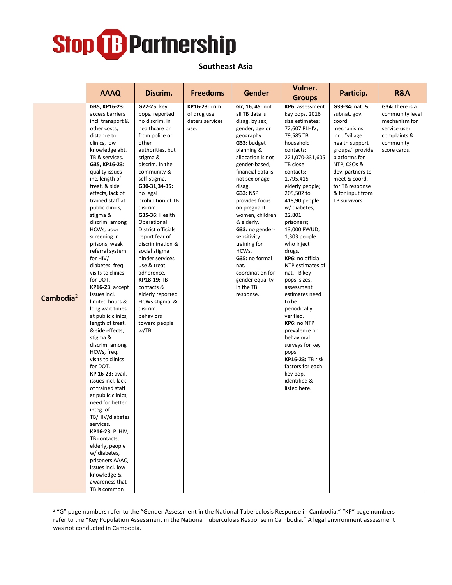

**Southeast Asia**

|              | <b>AAAQ</b>                            | Discrim.                             | <b>Freedoms</b> | <b>Gender</b>                       | Vulner.<br><b>Groups</b>     | Particip.                        | R&A                          |
|--------------|----------------------------------------|--------------------------------------|-----------------|-------------------------------------|------------------------------|----------------------------------|------------------------------|
|              | G35, KP16-23:                          | G22-25: key                          | KP16-23: crim.  | G7, 16, 45: not                     | KP6: assessment              | G33-34: nat. &                   | G34: there is a              |
|              | access barriers                        | pops. reported                       | of drug use     | all TB data is                      | key pops. 2016               | subnat. gov.                     | community level              |
|              | incl. transport &                      | no discrim. in                       | deters services | disag. by sex,                      | size estimates:              | coord.                           | mechanism for                |
|              | other costs,<br>distance to            | healthcare or<br>from police or      | use.            | gender, age or<br>geography.        | 72,607 PLHIV;<br>79,585 TB   | mechanisms,<br>incl. "village    | service user<br>complaints & |
|              | clinics, low                           | other                                |                 | G33: budget                         | household                    | health support                   | community                    |
|              | knowledge abt.                         | authorities, but                     |                 | planning &                          | contacts;                    | groups," provide                 | score cards.                 |
|              | TB & services.                         | stigma &                             |                 | allocation is not                   | 221,070-331,605              | platforms for                    |                              |
|              | G35, KP16-23:                          | discrim. in the                      |                 | gender-based,                       | TB close                     | NTP, CSOs &                      |                              |
|              | quality issues                         | community &                          |                 | financial data is                   | contacts;                    | dev. partners to                 |                              |
|              | inc. length of<br>treat. & side        | self-stigma.<br>G30-31,34-35:        |                 | not sex or age<br>disag.            | 1,795,415<br>elderly people; | meet & coord.<br>for TB response |                              |
|              | effects, lack of                       | no legal                             |                 | <b>G33: NSP</b>                     | 205,502 to                   | & for input from                 |                              |
|              | trained staff at                       | prohibition of TB                    |                 | provides focus                      | 418,90 people                | TB survivors.                    |                              |
|              | public clinics,                        | discrim.                             |                 | on pregnant                         | w/ diabetes;                 |                                  |                              |
|              | stigma &                               | <b>G35-36: Health</b>                |                 | women, children                     | 22,801                       |                                  |                              |
|              | discrim. among                         | Operational                          |                 | & elderly.<br>G33: no gender-       | prisoners;                   |                                  |                              |
|              | HCWs, poor<br>screening in             | District officials<br>report fear of |                 | sensitivity                         | 13,000 PWUD;<br>1,303 people |                                  |                              |
|              | prisons, weak                          | discrimination &                     |                 | training for                        | who inject                   |                                  |                              |
|              | referral system                        | social stigma                        |                 | HCWs.                               | drugs.                       |                                  |                              |
|              | for HIV/                               | hinder services                      |                 | G35: no formal                      | KP6: no official             |                                  |                              |
|              | diabetes, freq.                        | use & treat.                         |                 | nat.                                | NTP estimates of             |                                  |                              |
|              | visits to clinics<br>for DOT.          | adherence.<br><b>KP18-19: TB</b>     |                 | coordination for<br>gender equality | nat. TB key<br>pops. sizes,  |                                  |                              |
|              | $KP16-23: accept$                      | contacts &                           |                 | in the TB                           | assessment                   |                                  |                              |
| Cambodia $2$ | issues incl.                           | elderly reported                     |                 | response.                           | estimates need               |                                  |                              |
|              | limited hours &                        | HCWs stigma. &                       |                 |                                     | to be                        |                                  |                              |
|              | long wait times                        | discrim.                             |                 |                                     | periodically                 |                                  |                              |
|              | at public clinics,<br>length of treat. | behaviors<br>toward people           |                 |                                     | verified.<br>KP6: no NTP     |                                  |                              |
|              | & side effects,                        | w/TB.                                |                 |                                     | prevalence or                |                                  |                              |
|              | stigma &                               |                                      |                 |                                     | behavioral                   |                                  |                              |
|              | discrim. among                         |                                      |                 |                                     | surveys for key              |                                  |                              |
|              | HCWs, freq.                            |                                      |                 |                                     | pops.                        |                                  |                              |
|              | visits to clinics                      |                                      |                 |                                     | <b>KP16-23: TB risk</b>      |                                  |                              |
|              | for DOT.<br>KP 16-23: avail.           |                                      |                 |                                     | factors for each<br>key pop. |                                  |                              |
|              | issues incl. lack                      |                                      |                 |                                     | identified &                 |                                  |                              |
|              | of trained staff                       |                                      |                 |                                     | listed here.                 |                                  |                              |
|              | at public clinics,                     |                                      |                 |                                     |                              |                                  |                              |
|              | need for better                        |                                      |                 |                                     |                              |                                  |                              |
|              | integ. of<br>TB/HIV/diabetes           |                                      |                 |                                     |                              |                                  |                              |
|              | services.                              |                                      |                 |                                     |                              |                                  |                              |
|              | <b>KP16-23: PLHIV,</b>                 |                                      |                 |                                     |                              |                                  |                              |
|              | TB contacts,                           |                                      |                 |                                     |                              |                                  |                              |
|              | elderly, people                        |                                      |                 |                                     |                              |                                  |                              |
|              | w/ diabetes,                           |                                      |                 |                                     |                              |                                  |                              |
|              | prisoners AAAQ<br>issues incl. low     |                                      |                 |                                     |                              |                                  |                              |
|              | knowledge &                            |                                      |                 |                                     |                              |                                  |                              |
|              | awareness that                         |                                      |                 |                                     |                              |                                  |                              |
|              | TB is common                           |                                      |                 |                                     |                              |                                  |                              |

<sup>&</sup>lt;sup>2</sup> "G" page numbers refer to the "Gender Assessment in the National Tuberculosis Response in Cambodia." "KP" page numbers refer to the "Key Population Assessment in the National Tuberculosis Response in Cambodia." A legal environment assessment was not conducted in Cambodia.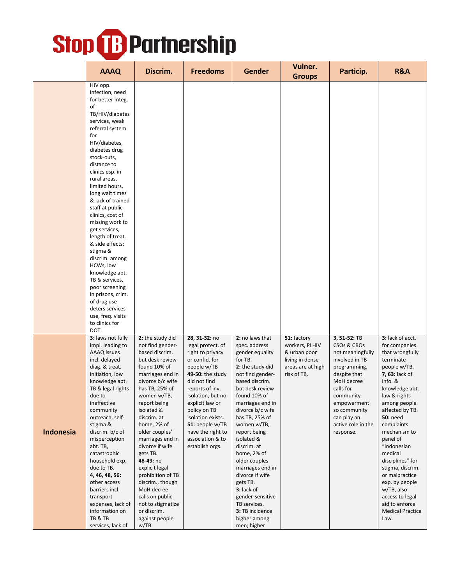|           | <b>AAAQ</b>                                                                                                                                                                                                                                                                                                                                                                                                                                                                                                                                                                                                 | Discrim.                                                                                                                                                                                                                                                                                                                                                                                                                                                                    | <b>Freedoms</b>                                                                                                                                                                                                                                                                                            | <b>Gender</b>                                                                                                                                                                                                                                                                                                                                                                                                                                                            | Vulner.<br><b>Groups</b>                                                                             | Particip.                                                                                                                                                                                                                  | <b>R&amp;A</b>                                                                                                                                                                                                                                                                                                                                                                                                                               |
|-----------|-------------------------------------------------------------------------------------------------------------------------------------------------------------------------------------------------------------------------------------------------------------------------------------------------------------------------------------------------------------------------------------------------------------------------------------------------------------------------------------------------------------------------------------------------------------------------------------------------------------|-----------------------------------------------------------------------------------------------------------------------------------------------------------------------------------------------------------------------------------------------------------------------------------------------------------------------------------------------------------------------------------------------------------------------------------------------------------------------------|------------------------------------------------------------------------------------------------------------------------------------------------------------------------------------------------------------------------------------------------------------------------------------------------------------|--------------------------------------------------------------------------------------------------------------------------------------------------------------------------------------------------------------------------------------------------------------------------------------------------------------------------------------------------------------------------------------------------------------------------------------------------------------------------|------------------------------------------------------------------------------------------------------|----------------------------------------------------------------------------------------------------------------------------------------------------------------------------------------------------------------------------|----------------------------------------------------------------------------------------------------------------------------------------------------------------------------------------------------------------------------------------------------------------------------------------------------------------------------------------------------------------------------------------------------------------------------------------------|
|           | HIV opp.<br>infection, need<br>for better integ.<br>οf<br>TB/HIV/diabetes<br>services, weak<br>referral system<br>for<br>HIV/diabetes,<br>diabetes drug<br>stock-outs,<br>distance to<br>clinics esp. in<br>rural areas,<br>limited hours,<br>long wait times<br>& lack of trained<br>staff at public<br>clinics, cost of<br>missing work to<br>get services,<br>length of treat.<br>& side effects;<br>stigma &<br>discrim. among<br>HCWs, low<br>knowledge abt.<br>TB & services,<br>poor screening<br>in prisons, crim.<br>of drug use<br>deters services<br>use, freq. visits<br>to clinics for<br>DOT. |                                                                                                                                                                                                                                                                                                                                                                                                                                                                             |                                                                                                                                                                                                                                                                                                            |                                                                                                                                                                                                                                                                                                                                                                                                                                                                          |                                                                                                      |                                                                                                                                                                                                                            |                                                                                                                                                                                                                                                                                                                                                                                                                                              |
| Indonesia | 3: laws not fully<br>impl. leading to<br>AAAQ issues<br>incl. delayed<br>diag. & treat.<br>initiation, low<br>knowledge abt.<br>TB & legal rights<br>due to<br>ineffective<br>community<br>outreach, self-<br>stigma &<br>discrim. b/c of<br>misperception<br>abt. TB,<br>catastrophic<br>household exp.<br>due to TB.<br>4, 46, 48, 56:<br>other access<br>barriers incl.<br>transport<br>expenses, lack of<br>information on<br>TB & TB<br>services, lack of                                                                                                                                              | 2: the study did<br>not find gender-<br>based discrim.<br>but desk review<br>found 10% of<br>marriages end in<br>divorce b/c wife<br>has TB, 25% of<br>women w/TB,<br>report being<br>isolated &<br>discrim. at<br>home, 2% of<br>older couples'<br>marriages end in<br>divorce if wife<br>gets TB.<br>48-49: no<br>explicit legal<br>prohibition of TB<br>discrim., though<br>MoH decree<br>calls on public<br>not to stigmatize<br>or discrim.<br>against people<br>w/TB. | 28, 31-32: no<br>legal protect. of<br>right to privacy<br>or confid. for<br>people w/TB<br>49-50: the study<br>did not find<br>reports of inv.<br>isolation, but no<br>explicit law or<br>policy on TB<br>isolation exists.<br>51: people w/TB<br>have the right to<br>association & to<br>establish orgs. | 2: no laws that<br>spec. address<br>gender equality<br>for TB.<br>2: the study did<br>not find gender-<br>based discrim.<br>but desk review<br>found 10% of<br>marriages end in<br>divorce b/c wife<br>has TB, 25% of<br>women w/TB,<br>report being<br>isolated &<br>discrim. at<br>home, 2% of<br>older couples<br>marriages end in<br>divorce if wife<br>gets TB.<br>3: lack of<br>gender-sensitive<br>TB services.<br>3: TB incidence<br>higher among<br>men; higher | 51: factory<br>workers, PLHIV<br>& urban poor<br>living in dense<br>areas are at high<br>risk of TB. | 3, 51-52: TB<br>CSOs & CBOs<br>not meaningfully<br>involved in TB<br>programming,<br>despite that<br>MoH decree<br>calls for<br>community<br>empowerment<br>so community<br>can play an<br>active role in the<br>response. | 3: lack of acct.<br>for companies<br>that wrongfully<br>terminate<br>people w/TB.<br>7, 63: lack of<br>info. &<br>knowledge abt.<br>law & rights<br>among people<br>affected by TB.<br><b>50: need</b><br>complaints<br>mechanism to<br>panel of<br>"Indonesian<br>medical<br>disciplines" for<br>stigma, discrim.<br>or malpractice<br>exp. by people<br>w/TB, also<br>access to legal<br>aid to enforce<br><b>Medical Practice</b><br>Law. |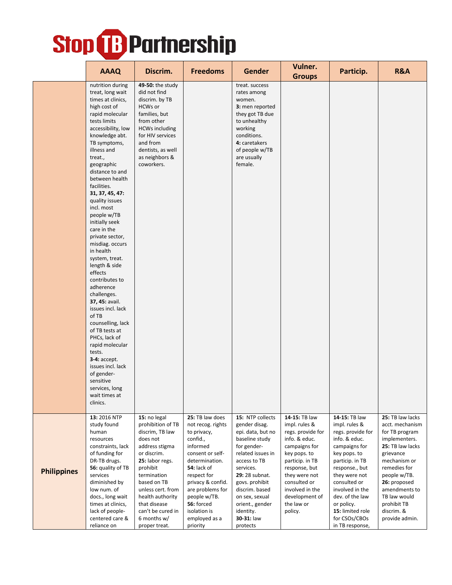|                    |                                                                                                                                                                                                                                                                                                                                                                                                                                                                                                                                                                                                                                                                                                                                                                               |                                                                                                                                                                                                                                                                              |                                                                                                                                                                                                                                                                     |                                                                                                                                                                                                                                                                             | Vulner.                                                                                                                                                                                                                                  |                                                                                                                                                                                                                                                                                         |                                                                                                                                                                                                                                                         |
|--------------------|-------------------------------------------------------------------------------------------------------------------------------------------------------------------------------------------------------------------------------------------------------------------------------------------------------------------------------------------------------------------------------------------------------------------------------------------------------------------------------------------------------------------------------------------------------------------------------------------------------------------------------------------------------------------------------------------------------------------------------------------------------------------------------|------------------------------------------------------------------------------------------------------------------------------------------------------------------------------------------------------------------------------------------------------------------------------|---------------------------------------------------------------------------------------------------------------------------------------------------------------------------------------------------------------------------------------------------------------------|-----------------------------------------------------------------------------------------------------------------------------------------------------------------------------------------------------------------------------------------------------------------------------|------------------------------------------------------------------------------------------------------------------------------------------------------------------------------------------------------------------------------------------|-----------------------------------------------------------------------------------------------------------------------------------------------------------------------------------------------------------------------------------------------------------------------------------------|---------------------------------------------------------------------------------------------------------------------------------------------------------------------------------------------------------------------------------------------------------|
|                    | <b>AAAQ</b>                                                                                                                                                                                                                                                                                                                                                                                                                                                                                                                                                                                                                                                                                                                                                                   | Discrim.                                                                                                                                                                                                                                                                     | <b>Freedoms</b>                                                                                                                                                                                                                                                     | <b>Gender</b>                                                                                                                                                                                                                                                               | <b>Groups</b>                                                                                                                                                                                                                            | Particip.                                                                                                                                                                                                                                                                               | R&A                                                                                                                                                                                                                                                     |
|                    | nutrition during<br>treat, long wait<br>times at clinics,<br>high cost of<br>rapid molecular<br>tests limits<br>accessibility, low<br>knowledge abt.<br>TB symptoms,<br>illness and<br>treat.,<br>geographic<br>distance to and<br>between health<br>facilities.<br>31, 37, 45, 47:<br>quality issues<br>incl. most<br>people w/TB<br>initially seek<br>care in the<br>private sector,<br>misdiag. occurs<br>in health<br>system, treat.<br>length & side<br>effects<br>contributes to<br>adherence<br>challenges.<br>37, 45: avail.<br>issues incl. lack<br>of TB<br>counselling, lack<br>of TB tests at<br>PHCs, lack of<br>rapid molecular<br>tests.<br><b>3-4: accept.</b><br>issues incl. lack<br>of gender-<br>sensitive<br>services, long<br>wait times at<br>clinics. | 49-50: the study<br>did not find<br>discrim. by TB<br>HCWs or<br>families, but<br>from other<br><b>HCWs including</b><br>for HIV services<br>and from<br>dentists, as well<br>as neighbors &<br>coworkers.                                                                   |                                                                                                                                                                                                                                                                     | treat. success<br>rates among<br>women.<br>3: men reported<br>they got TB due<br>to unhealthy<br>working<br>conditions.<br>4: caretakers<br>of people w/TB<br>are usually<br>female.                                                                                        |                                                                                                                                                                                                                                          |                                                                                                                                                                                                                                                                                         |                                                                                                                                                                                                                                                         |
| <b>Philippines</b> | 13: 2016 NTP<br>study found<br>human<br>resources<br>constraints, lack<br>of funding for<br>DR-TB drugs.<br>56: quality of TB<br>services<br>diminished by<br>low num. of<br>docs., long wait<br>times at clinics,<br>lack of people-<br>centered care &<br>reliance on                                                                                                                                                                                                                                                                                                                                                                                                                                                                                                       | 15: no legal<br>prohibition of TB<br>discrim, TB law<br>does not<br>address stigma<br>or discrim.<br>25: labor regs.<br>prohibit<br>termination<br>based on TB<br>unless cert. from<br>health authority<br>that disease<br>can't be cured in<br>6 months w/<br>proper treat. | 25: TB law does<br>not recog. rights<br>to privacy,<br>confid.,<br>informed<br>consent or self-<br>determination.<br>54: lack of<br>respect for<br>privacy & confid.<br>are problems for<br>people w/TB.<br>56: forced<br>isolation is<br>employed as a<br>priority | 15: NTP collects<br>gender disag.<br>epi. data, but no<br>baseline study<br>for gender-<br>related issues in<br>access to TB<br>services.<br>29: 28 subnat.<br>govs. prohibit<br>discrim. based<br>on sex, sexual<br>orient., gender<br>identity.<br>30-31: law<br>protects | 14-15: TB law<br>impl. rules &<br>regs. provide for<br>info. & educ.<br>campaigns for<br>key pops. to<br>particip. in TB<br>response, but<br>they were not<br>consulted or<br>involved in the<br>development of<br>the law or<br>policy. | 14-15: TB law<br>impl. rules &<br>regs. provide for<br>info. & educ.<br>campaigns for<br>key pops. to<br>particip. in TB<br>response., but<br>they were not<br>consulted or<br>involved in the<br>dev. of the law<br>or policy.<br>15: limited role<br>for CSOs/CBOs<br>in TB response, | 25: TB law lacks<br>acct. mechanism<br>for TB program<br>implementers.<br>25: TB law lacks<br>grievance<br>mechanism or<br>remedies for<br>people w/TB.<br>26: proposed<br>amendments to<br>TB law would<br>prohibit TB<br>discrim. &<br>provide admin. |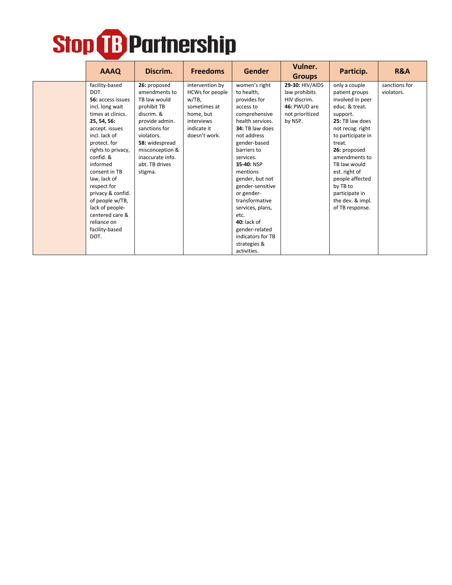| <b>AAAQ</b>                                                                                                                                                                                                                                                                                                                                                                 | Discrim.                                                                                                                                                                                                          | <b>Freedoms</b>                                                                                                        | <b>Gender</b>                                                                                                                                                                                                                                                                                                                                                                                   | Vulner.<br><b>Groups</b>                                                                       | Particip.                                                                                                                                                                                                                                                                                                         | <b>R&amp;A</b>              |
|-----------------------------------------------------------------------------------------------------------------------------------------------------------------------------------------------------------------------------------------------------------------------------------------------------------------------------------------------------------------------------|-------------------------------------------------------------------------------------------------------------------------------------------------------------------------------------------------------------------|------------------------------------------------------------------------------------------------------------------------|-------------------------------------------------------------------------------------------------------------------------------------------------------------------------------------------------------------------------------------------------------------------------------------------------------------------------------------------------------------------------------------------------|------------------------------------------------------------------------------------------------|-------------------------------------------------------------------------------------------------------------------------------------------------------------------------------------------------------------------------------------------------------------------------------------------------------------------|-----------------------------|
| facility-based<br>DOT.<br>56: access issues<br>incl. long wait<br>times at clinics.<br>25, 54, 56:<br>accept. issues<br>incl. lack of<br>protect. for<br>rights to privacy,<br>confid. &<br>informed<br>consent in TB<br>law, lack of<br>respect for<br>privacy & confid.<br>of people w/TB,<br>lack of people-<br>centered care &<br>reliance on<br>facility-based<br>DOT. | 26: proposed<br>amendments to<br>TB law would<br>prohibit TB<br>discrim. &<br>provide admin.<br>sanctions for<br>violators.<br>58: widespread<br>misconception &<br>inaccurate info.<br>abt. TB drives<br>stigma. | intervention by<br>HCWs for people<br>w/TB,<br>sometimes at<br>home, but<br>interviews<br>indicate it<br>doesn't work. | women's right<br>to health,<br>provides for<br>access to<br>comprehensive<br>health services.<br>34: TB law does<br>not address<br>gender-based<br>barriers to<br>services.<br>35-40: NSP<br>mentions<br>gender, but not<br>gender-sensitive<br>or gender-<br>transformative<br>services, plans,<br>etc.<br>$40:$ lack of<br>gender-related<br>indicators for TB<br>strategies &<br>activities. | 29-30: HIV/AIDS<br>law prohibits<br>HIV discrim.<br>46: PWUD are<br>not prioritized<br>by NSP. | only a couple<br>patient groups<br>involved in peer<br>educ. & treat.<br>support.<br>25: TB law does<br>not recog. right<br>to participate in<br>treat.<br>26: proposed<br>amendments to<br>TB law would<br>est. right of<br>people affected<br>by TB to<br>participate in<br>the dev. & impl.<br>of TB response. | sanctions for<br>violators. |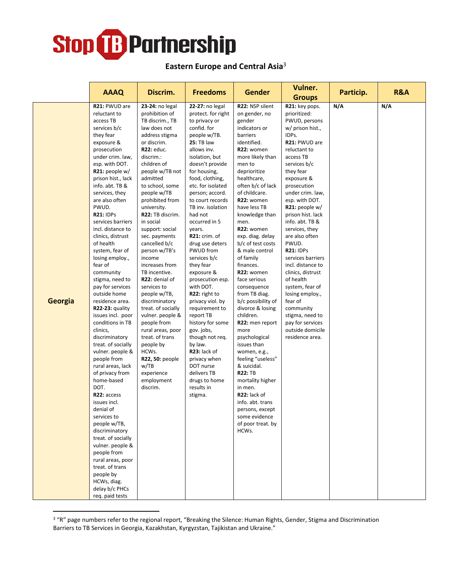#### **Eastern Europe and Central Asia**<sup>3</sup>

|         | <b>AAAQ</b>                                                                                                                                                                                                                                                                                                                                                                                                                                                                                                                                                                                                                                                                                                                                                                                                                                                                                                                                                                | Discrim.                                                                                                                                                                                                                                                                                                                                                                                                                                                                                                                                                                                                                                                            | <b>Freedoms</b>                                                                                                                                                                                                                                                                                                                                                                                                                                                                                                                                                                                                                                                                                 | <b>Gender</b>                                                                                                                                                                                                                                                                                                                                                                                                                                                                                                                                                                                                                                                                                                                                                 | Vulner.<br><b>Groups</b>                                                                                                                                                                                                                                                                                                                                                                                                                                                                                                                                                        | Particip. | R&A |
|---------|----------------------------------------------------------------------------------------------------------------------------------------------------------------------------------------------------------------------------------------------------------------------------------------------------------------------------------------------------------------------------------------------------------------------------------------------------------------------------------------------------------------------------------------------------------------------------------------------------------------------------------------------------------------------------------------------------------------------------------------------------------------------------------------------------------------------------------------------------------------------------------------------------------------------------------------------------------------------------|---------------------------------------------------------------------------------------------------------------------------------------------------------------------------------------------------------------------------------------------------------------------------------------------------------------------------------------------------------------------------------------------------------------------------------------------------------------------------------------------------------------------------------------------------------------------------------------------------------------------------------------------------------------------|-------------------------------------------------------------------------------------------------------------------------------------------------------------------------------------------------------------------------------------------------------------------------------------------------------------------------------------------------------------------------------------------------------------------------------------------------------------------------------------------------------------------------------------------------------------------------------------------------------------------------------------------------------------------------------------------------|---------------------------------------------------------------------------------------------------------------------------------------------------------------------------------------------------------------------------------------------------------------------------------------------------------------------------------------------------------------------------------------------------------------------------------------------------------------------------------------------------------------------------------------------------------------------------------------------------------------------------------------------------------------------------------------------------------------------------------------------------------------|---------------------------------------------------------------------------------------------------------------------------------------------------------------------------------------------------------------------------------------------------------------------------------------------------------------------------------------------------------------------------------------------------------------------------------------------------------------------------------------------------------------------------------------------------------------------------------|-----------|-----|
| Georgia | R21: PWUD are<br>reluctant to<br>access TB<br>services b/c<br>they fear<br>exposure &<br>prosecution<br>under crim. law,<br>esp. with DOT.<br>R21: people w/<br>prison hist., lack<br>info. abt. TB &<br>services, they<br>are also often<br>PWUD.<br><b>R21: IDPs</b><br>services barriers<br>incl. distance to<br>clinics, distrust<br>of health<br>system, fear of<br>losing employ.,<br>fear of<br>community<br>stigma, need to<br>pay for services<br>outside home<br>residence area.<br>R22-23: quality<br>issues incl. poor<br>conditions in TB<br>clinics,<br>discriminatory<br>treat. of socially<br>vulner. people &<br>people from<br>rural areas, lack<br>of privacy from<br>home-based<br>DOT.<br>R22: access<br>issues incl.<br>denial of<br>services to<br>people w/TB,<br>discriminatory<br>treat. of socially<br>vulner. people &<br>people from<br>rural areas, poor<br>treat. of trans<br>people by<br>HCWs, diag.<br>delay b/c PHCs<br>req. paid tests | 23-24: no legal<br>prohibition of<br>TB discrim., TB<br>law does not<br>address stigma<br>or discrim.<br>R22: educ.<br>discrim.:<br>children of<br>people w/TB not<br>admitted<br>to school, some<br>people w/TB<br>prohibited from<br>university.<br>R22: TB discrim.<br>in social<br>support: social<br>sec. payments<br>cancelled b/c<br>person w/TB's<br>income<br>increases from<br>TB incentive.<br>R22: denial of<br>services to<br>people w/TB,<br>discriminatory<br>treat. of socially<br>vulner. people &<br>people from<br>rural areas, poor<br>treat. of trans<br>people by<br>HCWs.<br>R22, 50: people<br>w/TB<br>experience<br>employment<br>discrim. | 22-27: no legal<br>protect. for right<br>to privacy or<br>confid. for<br>people w/TB.<br><b>25: TB law</b><br>allows inv.<br>isolation, but<br>doesn't provide<br>for housing,<br>food, clothing,<br>etc. for isolated<br>person; accord.<br>to court records<br>TB inv. isolation<br>had not<br>occurred in 5<br>years.<br>R21: crim. of<br>drug use deters<br>PWUD from<br>services b/c<br>they fear<br>exposure &<br>prosecution esp.<br>with DOT.<br>R22: right to<br>privacy viol. by<br>requirement to<br>report TB<br>history for some<br>gov. jobs,<br>though not req.<br>by law.<br>R23: lack of<br>privacy when<br>DOT nurse<br>delivers TB<br>drugs to home<br>results in<br>stigma. | R22: NSP silent<br>on gender, no<br>gender<br>indicators or<br>barriers<br>identified.<br>R22: women<br>more likely than<br>men to<br>deprioritize<br>healthcare,<br>often b/c of lack<br>of childcare.<br>R22: women<br>have less TB<br>knowledge than<br>men.<br>R22: women<br>exp. diag. delay<br>b/c of test costs<br>& male control<br>of family<br>finances.<br>R22: women<br>face serious<br>consequence<br>from TB diag.<br>b/c possibility of<br>divorce & losing<br>children.<br>R22: men report<br>more<br>psychological<br>issues than<br>women, e.g.,<br>feeling "useless"<br>& suicidal.<br><b>R22: TB</b><br>mortality higher<br>in men.<br>R22: lack of<br>info. abt. trans<br>persons, except<br>some evidence<br>of poor treat. by<br>HCWs. | R21: key pops.<br>prioritized:<br>PWUD, persons<br>w/ prison hist.,<br>IDPs.<br>R21: PWUD are<br>reluctant to<br>access TB<br>services b/c<br>they fear<br>exposure &<br>prosecution<br>under crim. law,<br>esp. with DOT.<br>$R21:$ people w/<br>prison hist. lack<br>info. abt. TB &<br>services, they<br>are also often<br>PWUD.<br><b>R21: IDPs</b><br>services barriers<br>incl. distance to<br>clinics, distrust<br>of health<br>system, fear of<br>losing employ.,<br>fear of<br>community<br>stigma, need to<br>pay for services<br>outside domicile<br>residence area. | N/A       | N/A |

<sup>&</sup>lt;sup>3</sup> "R" page numbers refer to the regional report, "Breaking the Silence: Human Rights, Gender, Stigma and Discrimination Barriers to TB Services in Georgia, Kazakhstan, Kyrgyzstan, Tajikistan and Ukraine."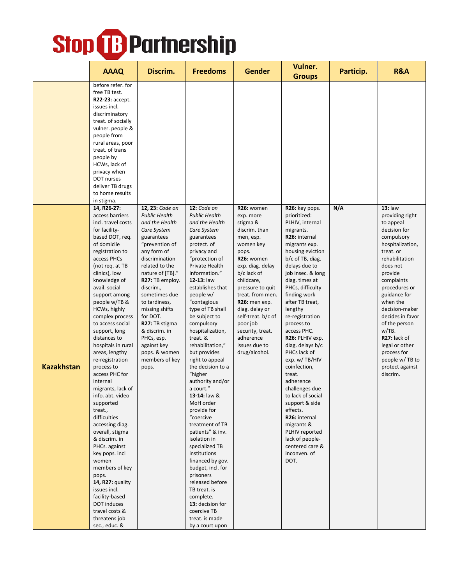|                   | <b>AAAQ</b>                                                                                                                                                                                                                                                                                                                                                                                                                                                                                                                                                                                                                                                                                                                                                                             | Discrim.                                                                                                                                                                                                                                                                                                                                                                                    | <b>Freedoms</b>                                                                                                                                                                                                                                                                                                                                                                                                                                                                                                                                                                                                                                                                                                                                                                | <b>Gender</b>                                                                                                                                                                                                                                                                                                                          | Vulner.<br><b>Groups</b>                                                                                                                                                                                                                                                                                                                                                                                                                                                                                                                                                                                               | Particip. | <b>R&amp;A</b>                                                                                                                                                                                                                                                                                                                                                                 |
|-------------------|-----------------------------------------------------------------------------------------------------------------------------------------------------------------------------------------------------------------------------------------------------------------------------------------------------------------------------------------------------------------------------------------------------------------------------------------------------------------------------------------------------------------------------------------------------------------------------------------------------------------------------------------------------------------------------------------------------------------------------------------------------------------------------------------|---------------------------------------------------------------------------------------------------------------------------------------------------------------------------------------------------------------------------------------------------------------------------------------------------------------------------------------------------------------------------------------------|--------------------------------------------------------------------------------------------------------------------------------------------------------------------------------------------------------------------------------------------------------------------------------------------------------------------------------------------------------------------------------------------------------------------------------------------------------------------------------------------------------------------------------------------------------------------------------------------------------------------------------------------------------------------------------------------------------------------------------------------------------------------------------|----------------------------------------------------------------------------------------------------------------------------------------------------------------------------------------------------------------------------------------------------------------------------------------------------------------------------------------|------------------------------------------------------------------------------------------------------------------------------------------------------------------------------------------------------------------------------------------------------------------------------------------------------------------------------------------------------------------------------------------------------------------------------------------------------------------------------------------------------------------------------------------------------------------------------------------------------------------------|-----------|--------------------------------------------------------------------------------------------------------------------------------------------------------------------------------------------------------------------------------------------------------------------------------------------------------------------------------------------------------------------------------|
|                   | before refer. for<br>free TB test.<br>R22-23: accept.<br>issues incl.<br>discriminatory<br>treat. of socially<br>vulner. people &<br>people from<br>rural areas, poor<br>treat. of trans<br>people by<br>HCWs, lack of<br>privacy when<br>DOT nurses<br>deliver TB drugs<br>to home results<br>in stigma.                                                                                                                                                                                                                                                                                                                                                                                                                                                                               |                                                                                                                                                                                                                                                                                                                                                                                             |                                                                                                                                                                                                                                                                                                                                                                                                                                                                                                                                                                                                                                                                                                                                                                                |                                                                                                                                                                                                                                                                                                                                        |                                                                                                                                                                                                                                                                                                                                                                                                                                                                                                                                                                                                                        |           |                                                                                                                                                                                                                                                                                                                                                                                |
| <b>Kazakhstan</b> | 14, R26-27:<br>access barriers<br>incl. travel costs<br>for facility-<br>based DOT, req.<br>of domicile<br>registration to<br>access PHCs<br>(not reg. at TB<br>clinics), low<br>knowledge of<br>avail. social<br>support among<br>people w/TB &<br>HCWs, highly<br>complex process<br>to access social<br>support, long<br>distances to<br>hospitals in rural<br>areas, lengthy<br>re-registration<br>process to<br>access PHC for<br>internal<br>migrants, lack of<br>info. abt. video<br>supported<br>treat.,<br>difficulties<br>accessing diag.<br>overall, stigma<br>& discrim. in<br>PHCs. against<br>key pops. incl<br>women<br>members of key<br>pops.<br>14, R27: quality<br>issues incl.<br>facility-based<br>DOT induces<br>travel costs &<br>threatens job<br>sec., educ. & | 12, 23: Code on<br><b>Public Health</b><br>and the Health<br>Care System<br>guarantees<br>"prevention of<br>any form of<br>discrimination<br>related to the<br>nature of [TB]."<br>R27: TB employ.<br>discrim.,<br>sometimes due<br>to tardiness,<br>missing shifts<br>for DOT.<br>R27: TB stigma<br>& discrim. in<br>PHCs, esp.<br>against key<br>pops. & women<br>members of key<br>pops. | 12: Code on<br><b>Public Health</b><br>and the Health<br>Care System<br>guarantees<br>protect. of<br>privacy and<br>"protection of<br>Private Health<br>Information."<br>12-13: law<br>establishes that<br>people w/<br>"contagious<br>type of TB shall<br>be subject to<br>compulsory<br>hospitalization,<br>treat. &<br>rehabilitation,"<br>but provides<br>right to appeal<br>the decision to a<br>"higher<br>authority and/or<br>a court."<br>13-14: law &<br>MoH order<br>provide for<br>"coercive<br>treatment of TB<br>patients" & inv.<br>isolation in<br>specialized TB<br>institutions<br>financed by gov.<br>budget, incl. for<br>prisoners<br>released before<br>TB treat. is<br>complete.<br>13: decision for<br>coercive TB<br>treat. is made<br>by a court upon | R26: women<br>exp. more<br>stigma &<br>discrim. than<br>men, esp.<br>women key<br>pops.<br>R26: women<br>exp. diag. delay<br>b/c lack of<br>childcare,<br>pressure to quit<br>treat. from men.<br>R26: men exp.<br>diag. delay or<br>self-treat. b/c of<br>poor job<br>security, treat.<br>adherence<br>issues due to<br>drug/alcohol. | R26: key pops.<br>prioritized:<br>PLHIV, internal<br>migrants.<br>R26: internal<br>migrants exp.<br>housing eviction<br>b/c of TB, diag.<br>delays due to<br>job insec. & long<br>diag. times at<br>PHCs, difficulty<br>finding work<br>after TB treat,<br>lengthy<br>re-registration<br>process to<br>access PHC.<br>R26: PLHIV exp.<br>diag. delays b/c<br>PHCs lack of<br>exp. w/ TB/HIV<br>coinfection,<br>treat.<br>adherence<br>challenges due<br>to lack of social<br>support & side<br>effects.<br>R26: internal<br>migrants &<br>PLHIV reported<br>lack of people-<br>centered care &<br>inconven. of<br>DOT. | N/A       | $13:$ law<br>providing right<br>to appeal<br>decision for<br>compulsory<br>hospitalization,<br>treat. or<br>rehabilitation<br>does not<br>provide<br>complaints<br>procedures or<br>guidance for<br>when the<br>decision-maker<br>decides in favor<br>of the person<br>w/TB.<br>R27: lack of<br>legal or other<br>process for<br>people w/TB to<br>protect against<br>discrim. |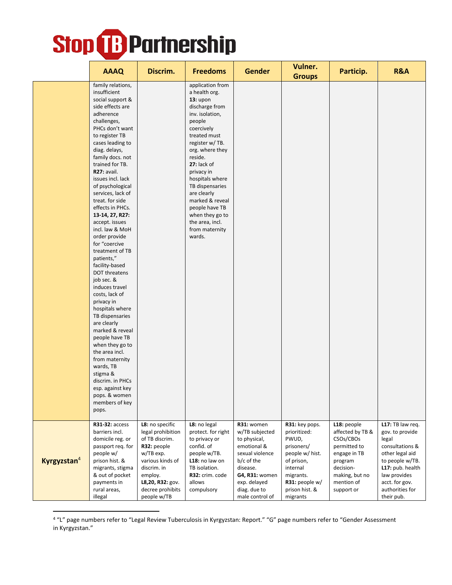|                         | <b>AAAQ</b>                                                                                                                                                                                                                                                                                                                                                                                                                                                                                                                                                                                                                                                                                                                                                                                                                   | Discrim.                                                                                                                                                                                | <b>Freedoms</b>                                                                                                                                                                                                                                                                                                                                                       | <b>Gender</b>                                                                                                                                                                 | Vulner.                                                                                                                                                         | Particip.                                                                                                                                          | <b>R&amp;A</b>                                                                                                                                                                               |
|-------------------------|-------------------------------------------------------------------------------------------------------------------------------------------------------------------------------------------------------------------------------------------------------------------------------------------------------------------------------------------------------------------------------------------------------------------------------------------------------------------------------------------------------------------------------------------------------------------------------------------------------------------------------------------------------------------------------------------------------------------------------------------------------------------------------------------------------------------------------|-----------------------------------------------------------------------------------------------------------------------------------------------------------------------------------------|-----------------------------------------------------------------------------------------------------------------------------------------------------------------------------------------------------------------------------------------------------------------------------------------------------------------------------------------------------------------------|-------------------------------------------------------------------------------------------------------------------------------------------------------------------------------|-----------------------------------------------------------------------------------------------------------------------------------------------------------------|----------------------------------------------------------------------------------------------------------------------------------------------------|----------------------------------------------------------------------------------------------------------------------------------------------------------------------------------------------|
|                         | family relations,<br>insufficient<br>social support &<br>side effects are<br>adherence<br>challenges,<br>PHCs don't want<br>to register TB<br>cases leading to<br>diag. delays,<br>family docs. not<br>trained for TB.<br>R27: avail.<br>issues incl. lack<br>of psychological<br>services, lack of<br>treat. for side<br>effects in PHCs.<br>13-14, 27, R27:<br>accept. issues<br>incl. law & MoH<br>order provide<br>for "coercive<br>treatment of TB<br>patients,"<br>facility-based<br>DOT threatens<br>job sec. &<br>induces travel<br>costs, lack of<br>privacy in<br>hospitals where<br>TB dispensaries<br>are clearly<br>marked & reveal<br>people have TB<br>when they go to<br>the area incl.<br>from maternity<br>wards, TB<br>stigma &<br>discrim. in PHCs<br>esp. against key<br>pops. & women<br>members of key |                                                                                                                                                                                         | application from<br>a health org.<br>$13:$ upon<br>discharge from<br>inv. isolation,<br>people<br>coercively<br>treated must<br>register w/TB.<br>org. where they<br>reside.<br>27: lack of<br>privacy in<br>hospitals where<br>TB dispensaries<br>are clearly<br>marked & reveal<br>people have TB<br>when they go to<br>the area, incl.<br>from maternity<br>wards. |                                                                                                                                                                               | <b>Groups</b>                                                                                                                                                   |                                                                                                                                                    |                                                                                                                                                                                              |
|                         | pops.                                                                                                                                                                                                                                                                                                                                                                                                                                                                                                                                                                                                                                                                                                                                                                                                                         |                                                                                                                                                                                         |                                                                                                                                                                                                                                                                                                                                                                       |                                                                                                                                                                               |                                                                                                                                                                 |                                                                                                                                                    |                                                                                                                                                                                              |
| Kyrgyzstan <sup>4</sup> | R31-32: access<br>barriers incl.<br>domicile reg. or<br>passport req. for<br>people w/<br>prison hist. &<br>migrants, stigma<br>& out of pocket<br>payments in<br>rural areas,<br>illegal                                                                                                                                                                                                                                                                                                                                                                                                                                                                                                                                                                                                                                     | L8: no specific<br>legal prohibition<br>of TB discrim.<br>R32: people<br>w/TB exp.<br>various kinds of<br>discrim. in<br>employ.<br>L8,20, R32: gov.<br>decree prohibits<br>people w/TB | L8: no legal<br>protect. for right<br>to privacy or<br>confid. of<br>people w/TB.<br>L18: no law on<br>TB isolation.<br>R32: crim. code<br>allows<br>compulsory                                                                                                                                                                                                       | R31: women<br>w/TB subjected<br>to physical,<br>emotional &<br>sexual violence<br>b/c of the<br>disease.<br>G4, R31: women<br>exp. delayed<br>diag. due to<br>male control of | R31: key pops.<br>prioritized:<br>PWUD,<br>prisoners/<br>people w/ hist.<br>of prison,<br>internal<br>migrants.<br>R31: people w/<br>prison hist. &<br>migrants | L18: people<br>affected by TB &<br>CSOs/CBOs<br>permitted to<br>engage in TB<br>program<br>decision-<br>making, but no<br>mention of<br>support or | L17: TB law req.<br>gov. to provide<br>legal<br>consultations &<br>other legal aid<br>to people w/TB.<br>L17: pub. health<br>law provides<br>acct. for gov.<br>authorities for<br>their pub. |

<sup>4</sup> "L" page numbers refer to "Legal Review Tuberculosis in Kyrgyzstan: Report." "G" page numbers refer to "Gender Assessment in Kyrgyzstan."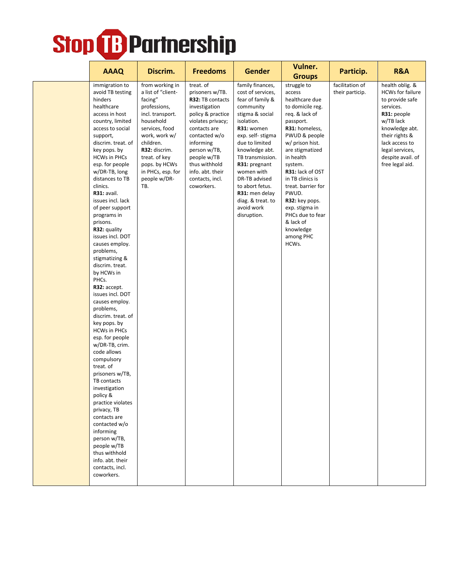| <b>AAAQ</b>                                                                                                                                                                                                                                                                                                                                                                                                                                                                                                                                                                                                                                                                                                                                                                                                                                                                                                                                             | Discrim.                                                                                                                                                                                                                                         | <b>Freedoms</b>                                                                                                                                                                                                                                                | Gender                                                                                                                                                                                                                                                                                                                                    | Vulner.<br><b>Groups</b>                                                                                                                                                                                                                                                                                                                                                   | Particip.                          | R&A                                                                                                                                                                                                                     |
|---------------------------------------------------------------------------------------------------------------------------------------------------------------------------------------------------------------------------------------------------------------------------------------------------------------------------------------------------------------------------------------------------------------------------------------------------------------------------------------------------------------------------------------------------------------------------------------------------------------------------------------------------------------------------------------------------------------------------------------------------------------------------------------------------------------------------------------------------------------------------------------------------------------------------------------------------------|--------------------------------------------------------------------------------------------------------------------------------------------------------------------------------------------------------------------------------------------------|----------------------------------------------------------------------------------------------------------------------------------------------------------------------------------------------------------------------------------------------------------------|-------------------------------------------------------------------------------------------------------------------------------------------------------------------------------------------------------------------------------------------------------------------------------------------------------------------------------------------|----------------------------------------------------------------------------------------------------------------------------------------------------------------------------------------------------------------------------------------------------------------------------------------------------------------------------------------------------------------------------|------------------------------------|-------------------------------------------------------------------------------------------------------------------------------------------------------------------------------------------------------------------------|
| immigration to<br>avoid TB testing<br>hinders<br>healthcare<br>access in host<br>country, limited<br>access to social<br>support,<br>discrim. treat. of<br>key pops. by<br><b>HCWs in PHCs</b><br>esp. for people<br>w/DR-TB, long<br>distances to TB<br>clinics.<br>R31: avail.<br>issues incl. lack<br>of peer support<br>programs in<br>prisons.<br>R32: quality<br>issues incl. DOT<br>causes employ.<br>problems,<br>stigmatizing &<br>discrim. treat.<br>by HCWs in<br>PHCs.<br>R32: accept.<br>issues incl. DOT<br>causes employ.<br>problems,<br>discrim. treat. of<br>key pops. by<br><b>HCWs in PHCs</b><br>esp. for people<br>w/DR-TB, crim.<br>code allows<br>compulsory<br>treat. of<br>prisoners w/TB,<br>TB contacts<br>investigation<br>policy &<br>practice violates<br>privacy, TB<br>contacts are<br>contacted w/o<br>informing<br>person w/TB,<br>people w/TB<br>thus withhold<br>info. abt. their<br>contacts, incl.<br>coworkers. | from working in<br>a list of "client-<br>facing"<br>professions,<br>incl. transport.<br>household<br>services, food<br>work, work w/<br>children.<br>R32: discrim.<br>treat. of key<br>pops. by HCWs<br>in PHCs, esp. for<br>people w/DR-<br>TB. | treat. of<br>prisoners w/TB.<br>R32: TB contacts<br>investigation<br>policy & practice<br>violates privacy;<br>contacts are<br>contacted w/o<br>informing<br>person w/TB,<br>people w/TB<br>thus withhold<br>info. abt. their<br>contacts, incl.<br>coworkers. | family finances,<br>cost of services,<br>fear of family &<br>community<br>stigma & social<br>isolation.<br>R31: women<br>exp. self- stigma<br>due to limited<br>knowledge abt.<br>TB transmission.<br>R31: pregnant<br>women with<br>DR-TB advised<br>to abort fetus.<br>R31: men delay<br>diag. & treat. to<br>avoid work<br>disruption. | struggle to<br>access<br>healthcare due<br>to domicile reg.<br>req. & lack of<br>passport.<br>R31: homeless,<br>PWUD & people<br>w/ prison hist.<br>are stigmatized<br>in health<br>system.<br>R31: lack of OST<br>in TB clinics is<br>treat. barrier for<br>PWUD.<br>R32: key pops.<br>exp. stigma in<br>PHCs due to fear<br>& lack of<br>knowledge<br>among PHC<br>HCWs. | facilitation of<br>their particip. | health oblig. &<br><b>HCWs for failure</b><br>to provide safe<br>services.<br>R31: people<br>w/TB lack<br>knowledge abt.<br>their rights &<br>lack access to<br>legal services,<br>despite avail. of<br>free legal aid. |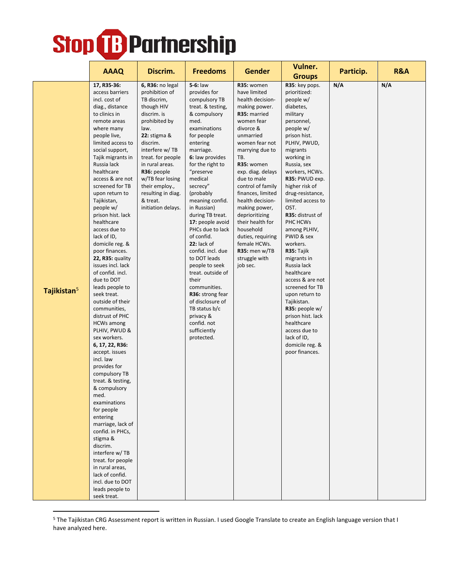|                         |                                                                                                                                                                                                                                                                                                                                                                                                                                                                                                                                                                                                                                                                                                                                                                                                                                                                                                                                                                                                                                  |                                                                                                                                                                                                                                                                                                                   |                                                                                                                                                                                                                                                                                                                                                                                                                                                                                                                                                                                          |                                                                                                                                                                                                                                                                                                                                                                                                                                            | Vulner.                                                                                                                                                                                                                                                                                                                                                                                                                                                                                                                                                                                                                 |           | <b>R&amp;A</b> |
|-------------------------|----------------------------------------------------------------------------------------------------------------------------------------------------------------------------------------------------------------------------------------------------------------------------------------------------------------------------------------------------------------------------------------------------------------------------------------------------------------------------------------------------------------------------------------------------------------------------------------------------------------------------------------------------------------------------------------------------------------------------------------------------------------------------------------------------------------------------------------------------------------------------------------------------------------------------------------------------------------------------------------------------------------------------------|-------------------------------------------------------------------------------------------------------------------------------------------------------------------------------------------------------------------------------------------------------------------------------------------------------------------|------------------------------------------------------------------------------------------------------------------------------------------------------------------------------------------------------------------------------------------------------------------------------------------------------------------------------------------------------------------------------------------------------------------------------------------------------------------------------------------------------------------------------------------------------------------------------------------|--------------------------------------------------------------------------------------------------------------------------------------------------------------------------------------------------------------------------------------------------------------------------------------------------------------------------------------------------------------------------------------------------------------------------------------------|-------------------------------------------------------------------------------------------------------------------------------------------------------------------------------------------------------------------------------------------------------------------------------------------------------------------------------------------------------------------------------------------------------------------------------------------------------------------------------------------------------------------------------------------------------------------------------------------------------------------------|-----------|----------------|
|                         | <b>AAAQ</b>                                                                                                                                                                                                                                                                                                                                                                                                                                                                                                                                                                                                                                                                                                                                                                                                                                                                                                                                                                                                                      | Discrim.                                                                                                                                                                                                                                                                                                          | <b>Freedoms</b>                                                                                                                                                                                                                                                                                                                                                                                                                                                                                                                                                                          | <b>Gender</b>                                                                                                                                                                                                                                                                                                                                                                                                                              | <b>Groups</b>                                                                                                                                                                                                                                                                                                                                                                                                                                                                                                                                                                                                           | Particip. |                |
| Tajikistan <sup>5</sup> | 17, R35-36:<br>access barriers<br>incl. cost of<br>diag., distance<br>to clinics in<br>remote areas<br>where many<br>people live,<br>limited access to<br>social support,<br>Tajik migrants in<br>Russia lack<br>healthcare<br>access & are not<br>screened for TB<br>upon return to<br>Tajikistan,<br>people w/<br>prison hist. lack<br>healthcare<br>access due to<br>lack of ID,<br>domicile reg. &<br>poor finances.<br>22, R35: quality<br>issues incl. lack<br>of confid. incl.<br>due to DOT<br>leads people to<br>seek treat.<br>outside of their<br>communities,<br>distrust of PHC<br><b>HCWs among</b><br>PLHIV, PWUD &<br>sex workers.<br>6, 17, 22, R36:<br>accept. issues<br>incl. law<br>provides for<br>compulsory TB<br>treat. & testing,<br>& compulsory<br>med.<br>examinations<br>for people<br>entering<br>marriage, lack of<br>confid. in PHCs,<br>stigma &<br>discrim.<br>interfere w/TB<br>treat. for people<br>in rural areas,<br>lack of confid.<br>incl. due to DOT<br>leads people to<br>seek treat. | 6, R36: no legal<br>prohibition of<br>TB discrim,<br>though HIV<br>discrim. is<br>prohibited by<br>law.<br><b>22:</b> stigma &<br>discrim.<br>interfere w/TB<br>treat. for people<br>in rural areas.<br>R36: people<br>w/TB fear losing<br>their employ.,<br>resulting in diag.<br>& treat.<br>initiation delays. | 5-6: law<br>provides for<br>compulsory TB<br>treat. & testing,<br>& compulsory<br>med.<br>examinations<br>for people<br>entering<br>marriage.<br>6: law provides<br>for the right to<br>"preserve<br>medical<br>secrecy"<br>(probably<br>meaning confid.<br>in Russian)<br>during TB treat.<br>17: people avoid<br>PHCs due to lack<br>of confid.<br>22: lack of<br>confid. incl. due<br>to DOT leads<br>people to seek<br>treat. outside of<br>their<br>communities.<br>R36: strong fear<br>of disclosure of<br>TB status b/c<br>privacy &<br>confid. not<br>sufficiently<br>protected. | R35: women<br>have limited<br>health decision-<br>making power.<br>R35: married<br>women fear<br>divorce &<br>unmarried<br>women fear not<br>marrying due to<br>TB.<br>R35: women<br>exp. diag. delays<br>due to male<br>control of family<br>finances, limited<br>health decision-<br>making power,<br>deprioritizing<br>their health for<br>household<br>duties, requiring<br>female HCWs.<br>R35: men w/TB<br>struggle with<br>job sec. | R35: key pops.<br>prioritized:<br>people w/<br>diabetes,<br>military<br>personnel,<br>people w/<br>prison hist.<br>PLHIV, PWUD,<br>migrants<br>working in<br>Russia, sex<br>workers, HCWs.<br>R35: PWUD exp.<br>higher risk of<br>drug-resistance,<br>limited access to<br>OST.<br>R35: distrust of<br>PHC HCWs<br>among PLHIV,<br>PWID & sex<br>workers.<br>R35: Tajik<br>migrants in<br>Russia lack<br>healthcare<br>access & are not<br>screened for TB<br>upon return to<br>Tajikistan.<br>R35: people $w/$<br>prison hist. lack<br>healthcare<br>access due to<br>lack of ID,<br>domicile reg. &<br>poor finances. | N/A       | N/A            |

<sup>5</sup> The Tajikistan CRG Assessment report is written in Russian. I used Google Translate to create an English language version that I have analyzed here.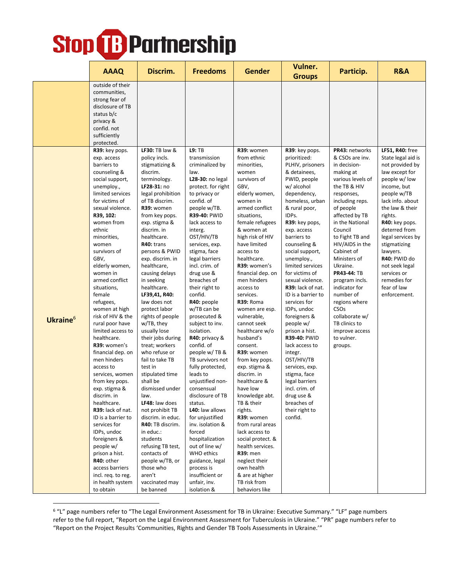|             | <b>AAAQ</b>                                                                                                                                                                                                                                                                                                                                                                                                                                                                                                                                                                                                                                                                                                                                                                                           | Discrim.                                                                                                                                                                                                                                                                                                                                                                                                                                                                                                                                                                                                                                                                                                                                                                                                     | <b>Freedoms</b>                                                                                                                                                                                                                                                                                                                                                                                                                                                                                                                                                                                                                                                                                                                                                                                     | <b>Gender</b>                                                                                                                                                                                                                                                                                                                                                                                                                                                                                                                                                                                                                                                                                                                                                              | Vulner.<br><b>Groups</b>                                                                                                                                                                                                                                                                                                                                                                                                                                                                                                                                                                                                                           | Particip.                                                                                                                                                                                                                                                                                                                                                                                                                                                                  | <b>R&amp;A</b>                                                                                                                                                                                                                                                                                                                                                 |
|-------------|-------------------------------------------------------------------------------------------------------------------------------------------------------------------------------------------------------------------------------------------------------------------------------------------------------------------------------------------------------------------------------------------------------------------------------------------------------------------------------------------------------------------------------------------------------------------------------------------------------------------------------------------------------------------------------------------------------------------------------------------------------------------------------------------------------|--------------------------------------------------------------------------------------------------------------------------------------------------------------------------------------------------------------------------------------------------------------------------------------------------------------------------------------------------------------------------------------------------------------------------------------------------------------------------------------------------------------------------------------------------------------------------------------------------------------------------------------------------------------------------------------------------------------------------------------------------------------------------------------------------------------|-----------------------------------------------------------------------------------------------------------------------------------------------------------------------------------------------------------------------------------------------------------------------------------------------------------------------------------------------------------------------------------------------------------------------------------------------------------------------------------------------------------------------------------------------------------------------------------------------------------------------------------------------------------------------------------------------------------------------------------------------------------------------------------------------------|----------------------------------------------------------------------------------------------------------------------------------------------------------------------------------------------------------------------------------------------------------------------------------------------------------------------------------------------------------------------------------------------------------------------------------------------------------------------------------------------------------------------------------------------------------------------------------------------------------------------------------------------------------------------------------------------------------------------------------------------------------------------------|----------------------------------------------------------------------------------------------------------------------------------------------------------------------------------------------------------------------------------------------------------------------------------------------------------------------------------------------------------------------------------------------------------------------------------------------------------------------------------------------------------------------------------------------------------------------------------------------------------------------------------------------------|----------------------------------------------------------------------------------------------------------------------------------------------------------------------------------------------------------------------------------------------------------------------------------------------------------------------------------------------------------------------------------------------------------------------------------------------------------------------------|----------------------------------------------------------------------------------------------------------------------------------------------------------------------------------------------------------------------------------------------------------------------------------------------------------------------------------------------------------------|
|             | outside of their<br>communities,<br>strong fear of<br>disclosure of TB<br>status b/c<br>privacy &<br>confid. not<br>sufficiently<br>protected.                                                                                                                                                                                                                                                                                                                                                                                                                                                                                                                                                                                                                                                        |                                                                                                                                                                                                                                                                                                                                                                                                                                                                                                                                                                                                                                                                                                                                                                                                              |                                                                                                                                                                                                                                                                                                                                                                                                                                                                                                                                                                                                                                                                                                                                                                                                     |                                                                                                                                                                                                                                                                                                                                                                                                                                                                                                                                                                                                                                                                                                                                                                            |                                                                                                                                                                                                                                                                                                                                                                                                                                                                                                                                                                                                                                                    |                                                                                                                                                                                                                                                                                                                                                                                                                                                                            |                                                                                                                                                                                                                                                                                                                                                                |
| Ukraine $6$ | R39: key pops.<br>exp. access<br>barriers to<br>counseling &<br>social support,<br>unemploy.,<br>limited services<br>for victims of<br>sexual violence.<br>R39, 102:<br>women from<br>ethnic<br>minorities,<br>women<br>survivors of<br>GBV,<br>elderly women,<br>women in<br>armed conflict<br>situations,<br>female<br>refugees,<br>women at high<br>risk of HIV & the<br>rural poor have<br>limited access to<br>healthcare.<br>R39: women's<br>financial dep. on<br>men hinders<br>access to<br>services, women<br>from key pops.<br>exp. stigma &<br>discrim. in<br>healthcare.<br>R39: lack of nat.<br>ID is a barrier to<br>services for<br>IDPs, undoc<br>foreigners &<br>people w/<br>prison a hist.<br>R40: other<br>access barriers<br>incl. req. to reg.<br>in health system<br>to obtain | LF30: TB law &<br>policy incls.<br>stigmatizing &<br>discrim.<br>terminology.<br>LF28-31: no<br>legal prohibition<br>of TB discrim.<br>R39: women<br>from key pops.<br>exp. stigma &<br>discrim. in<br>healthcare.<br>R40: trans<br>persons & PWID<br>exp. discrim. in<br>healthcare,<br>causing delays<br>in seeking<br>healthcare.<br>LF39,41, R40:<br>law does not<br>protect labor<br>rights of people<br>w/TB, they<br>usually lose<br>their jobs during<br>treat; workers<br>who refuse or<br>fail to take TB<br>test in<br>stipulated time<br>shall be<br>dismissed under<br>law.<br>LF48: law does<br>not prohibit TB<br>discrim. in educ.<br>R40: TB discrim.<br>in educ.:<br>students<br>refusing TB test,<br>contacts of<br>people w/TB, or<br>those who<br>aren't<br>vaccinated may<br>be banned | L9:TB<br>transmission<br>criminalized by<br>law.<br>L28-30: no legal<br>protect. for right<br>to privacy or<br>confid. of<br>people w/TB.<br>R39-40: PWID<br>lack access to<br>interg.<br>OST/HIV/TB<br>services, exp.<br>stigma, face<br>legal barriers<br>incl. crim. of<br>drug use &<br>breaches of<br>their right to<br>confid.<br>R40: people<br>w/TB can be<br>prosecuted &<br>subject to inv.<br>isolation.<br>R40: privacy &<br>confid. of<br>people w/TB &<br>TB survivors not<br>fully protected,<br>leads to<br>unjustified non-<br>consensual<br>disclosure of TB<br>status.<br>L40: law allows<br>for unjustified<br>inv. isolation &<br>forced<br>hospitalization<br>out of line w/<br>WHO ethics<br>guidance, legal<br>process is<br>insufficient or<br>unfair, inv.<br>isolation & | R39: women<br>from ethnic<br>minorities,<br>women<br>survivors of<br>GBV,<br>elderly women,<br>women in<br>armed conflict<br>situations,<br>female refugees<br>& women at<br>high risk of HIV<br>have limited<br>access to<br>healthcare.<br>R39: women's<br>financial dep. on<br>men hinders<br>access to<br>services.<br>R39: Roma<br>women are esp.<br>vulnerable,<br>cannot seek<br>healthcare w/o<br>husband's<br>consent.<br>R39: women<br>from key pops.<br>exp. stigma &<br>discrim. in<br>healthcare &<br>have low<br>knowledge abt.<br>TB & their<br>rights.<br>R39: women<br>from rural areas<br>lack access to<br>social protect. &<br>health services.<br><b>R39: men</b><br>neglect their<br>own health<br>& are at higher<br>TB risk from<br>behaviors like | R39: key pops.<br>prioritized:<br>PLHIV, prisoners<br>& detainees,<br>PWID, people<br>w/ alcohol<br>dependency,<br>homeless, urban<br>& rural poor,<br>IDPs.<br>R39: key pops,<br>exp. access<br>barriers to<br>counseling &<br>social support,<br>unemploy.,<br>limited services<br>for victims of<br>sexual violence.<br>R39: lack of nat.<br>ID is a barrier to<br>services for<br>IDPs, undoc<br>foreigners &<br>people w/<br>prison a hist.<br><b>R39-40: PWID</b><br>lack access to<br>integr.<br>OST/HIV/TB<br>services, exp.<br>stigma, face<br>legal barriers<br>incl. crim. of<br>drug use &<br>breaches of<br>their right to<br>confid. | PR43: networks<br>& CSOs are inv.<br>in decision-<br>making at<br>various levels of<br>the TB & HIV<br>responses,<br>including reps.<br>of people<br>affected by TB<br>in the National<br>Council<br>to Fight TB and<br>HIV/AIDS in the<br>Cabinet of<br>Ministers of<br>Ukraine.<br><b>PR43-44: TB</b><br>program incls.<br>indicator for<br>number of<br>regions where<br>CSO <sub>S</sub><br>collaborate w/<br>TB clinics to<br>improve access<br>to vulner.<br>groups. | LF51, R40: free<br>State legal aid is<br>not provided by<br>law except for<br>people w/low<br>income, but<br>people w/TB<br>lack info. about<br>the law & their<br>rights.<br>R40: key pops.<br>deterred from<br>legal services by<br>stigmatizing<br>lawyers.<br>R40: PWID do<br>not seek legal<br>services or<br>remedies for<br>fear of law<br>enforcement. |

<sup>6</sup> "L" page numbers refer to "The Legal Environment Assessment for TB in Ukraine: Executive Summary." "LF" page numbers refer to the full report, "Report on the Legal Environment Assessment for Tuberculosis in Ukraine." "PR" page numbers refer to "Report on the Project Results 'Communities, Rights and Gender TB Tools Assessments in Ukraine.'"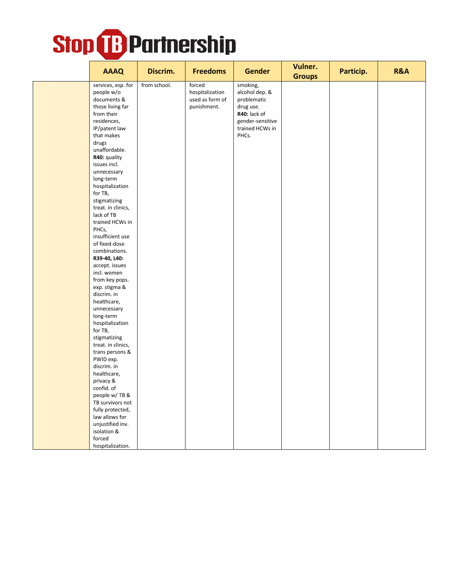| <b>AAAQ</b>                                                                                                                                                                                                                                                                                                                                                                                                                                                                                                                                                                                                                                                                                                                                                   | Discrim.     | <b>Freedoms</b>                                             | <b>Gender</b>                                                                                                          | Vulner.<br><b>Groups</b> | Particip. | <b>R&amp;A</b> |
|---------------------------------------------------------------------------------------------------------------------------------------------------------------------------------------------------------------------------------------------------------------------------------------------------------------------------------------------------------------------------------------------------------------------------------------------------------------------------------------------------------------------------------------------------------------------------------------------------------------------------------------------------------------------------------------------------------------------------------------------------------------|--------------|-------------------------------------------------------------|------------------------------------------------------------------------------------------------------------------------|--------------------------|-----------|----------------|
| services, esp. for<br>people w/o<br>documents &<br>those living far<br>from their<br>residences,<br>IP/patent law<br>that makes<br>drugs<br>unaffordable.<br>R40: quality<br>issues incl.<br>unnecessary<br>long-term<br>hospitalization<br>for TB,<br>stigmatizing<br>treat. in clinics,<br>lack of TB<br>trained HCWs in<br>PHCs,<br>insufficient use<br>of fixed-dose<br>combinations.<br>R39-40, L40:<br>accept. issues<br>incl. women<br>from key pops.<br>exp. stigma &<br>discrim. in<br>healthcare,<br>unnecessary<br>long-term<br>hospitalization<br>for TB,<br>stigmatizing<br>treat. in clinics,<br>trans persons &<br>PWID exp.<br>discrim. in<br>healthcare,<br>privacy &<br>confid. of<br>people w/TB &<br>TB survivors not<br>fully protected, | from school. | forced<br>hospitalization<br>used as form of<br>punishment. | smoking,<br>alcohol dep. &<br>problematic<br>drug use.<br>R40: lack of<br>gender-sensitive<br>trained HCWs in<br>PHCs. |                          |           |                |
| law allows for<br>unjustified inv.<br>isolation &<br>forced                                                                                                                                                                                                                                                                                                                                                                                                                                                                                                                                                                                                                                                                                                   |              |                                                             |                                                                                                                        |                          |           |                |
| hospitalization.                                                                                                                                                                                                                                                                                                                                                                                                                                                                                                                                                                                                                                                                                                                                              |              |                                                             |                                                                                                                        |                          |           |                |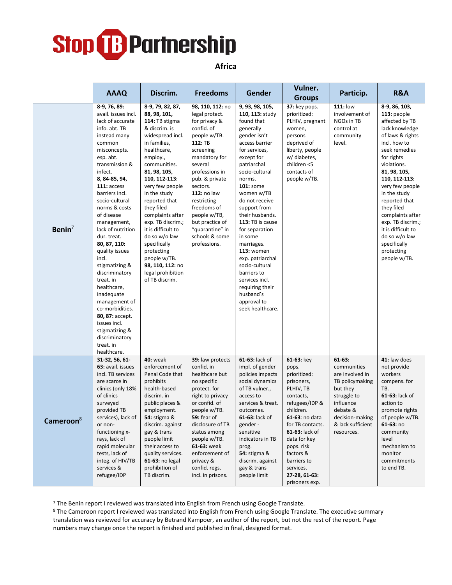

**Africa**

|                       | <b>AAAQ</b>                                                                                                                                                                                                                                                                                                                                                                                                                                                                                                                                                                        | Discrim.                                                                                                                                                                                                                                                                                                                                                                                                                                       | <b>Freedoms</b>                                                                                                                                                                                                                                                                                                                   | Gender                                                                                                                                                                                                                                                                                                                                                                                                                                                                                  | Vulner.<br><b>Groups</b>                                                                                                                                                                                                                                                     | Particip.                                                                                                                                                               | <b>R&amp;A</b>                                                                                                                                                                                                                                                                                                                                                                      |
|-----------------------|------------------------------------------------------------------------------------------------------------------------------------------------------------------------------------------------------------------------------------------------------------------------------------------------------------------------------------------------------------------------------------------------------------------------------------------------------------------------------------------------------------------------------------------------------------------------------------|------------------------------------------------------------------------------------------------------------------------------------------------------------------------------------------------------------------------------------------------------------------------------------------------------------------------------------------------------------------------------------------------------------------------------------------------|-----------------------------------------------------------------------------------------------------------------------------------------------------------------------------------------------------------------------------------------------------------------------------------------------------------------------------------|-----------------------------------------------------------------------------------------------------------------------------------------------------------------------------------------------------------------------------------------------------------------------------------------------------------------------------------------------------------------------------------------------------------------------------------------------------------------------------------------|------------------------------------------------------------------------------------------------------------------------------------------------------------------------------------------------------------------------------------------------------------------------------|-------------------------------------------------------------------------------------------------------------------------------------------------------------------------|-------------------------------------------------------------------------------------------------------------------------------------------------------------------------------------------------------------------------------------------------------------------------------------------------------------------------------------------------------------------------------------|
| Benin $7$             | 8-9, 76, 89:<br>avail. issues incl.<br>lack of accurate<br>info. abt. TB<br>instead many<br>common<br>misconcepts.<br>esp. abt.<br>transmission &<br>infect.<br>8, 84-85, 94,<br>111: access<br>barriers incl.<br>socio-cultural<br>norms & costs<br>of disease<br>management,<br>lack of nutrition<br>dur. treat.<br>80, 87, 110:<br>quality issues<br>incl.<br>stigmatizing &<br>discriminatory<br>treat. in<br>healthcare,<br>inadequate<br>management of<br>co-morbidities.<br>80, 87: accept.<br>issues incl.<br>stigmatizing &<br>discriminatory<br>treat. in<br>healthcare. | 8-9, 79, 82, 87,<br>88, 98, 101,<br>114: TB stigma<br>& discrim. is<br>widespread incl.<br>in families,<br>healthcare,<br>employ.,<br>communities.<br>81, 98, 105,<br>110, 112-113:<br>very few people<br>in the study<br>reported that<br>they filed<br>complaints after<br>exp. TB discrim.;<br>it is difficult to<br>do so w/o law<br>specifically<br>protecting<br>people w/TB.<br>98, 110, 112: no<br>legal prohibition<br>of TB discrim. | 98, 110, 112: no<br>legal protect.<br>for privacy &<br>confid. of<br>people w/TB.<br>112: TB<br>screening<br>mandatory for<br>several<br>professions in<br>pub. & private<br>sectors.<br><b>112: no law</b><br>restricting<br>freedoms of<br>people w/TB,<br>but practice of<br>"quarantine" in<br>schools & some<br>professions. | 9, 93, 98, 105,<br>110, 113: study<br>found that<br>generally<br>gender isn't<br>access barrier<br>for services,<br>except for<br>patriarchal<br>socio-cultural<br>norms.<br>101: some<br>women w/TB<br>do not receive<br>support from<br>their husbands.<br>113: TB is cause<br>for separation<br>in some<br>marriages.<br><b>113: women</b><br>exp. patriarchal<br>socio-cultural<br>barriers to<br>services incl.<br>requiring their<br>husband's<br>approval to<br>seek healthcare. | 37: key pops.<br>prioritized:<br>PLHIV, pregnant<br>women,<br>persons<br>deprived of<br>liberty, people<br>w/ diabetes,<br>children <5<br>contacts of<br>people w/TB.                                                                                                        | <b>111: low</b><br>involvement of<br>NGOs in TB<br>control at<br>community<br>level.                                                                                    | 8-9, 86, 103,<br>113: people<br>affected by TB<br>lack knowledge<br>of laws & rights<br>incl. how to<br>seek remedies<br>for rights<br>violations.<br>81, 98, 105,<br>110, 112-113:<br>very few people<br>in the study<br>reported that<br>they filed<br>complaints after<br>exp. TB discrim.;<br>it is difficult to<br>do so w/o law<br>specifically<br>protecting<br>people w/TB. |
| Cameroon <sup>8</sup> | 31-32, 56, 61-<br>63: avail. issues<br>incl. TB services<br>are scarce in<br>clinics (only 18%<br>of clinics<br>surveyed<br>provided TB<br>services), lack of<br>or non-<br>functioning x-<br>rays, lack of<br>rapid molecular<br>tests, lack of<br>integ. of HIV/TB<br>services &<br>refugee/IDP                                                                                                                                                                                                                                                                                  | <b>40: weak</b><br>enforcement of<br>Penal Code that<br>prohibits<br>health-based<br>discrim. in<br>public places &<br>employment.<br><b>54: stigma &amp;</b><br>discrim. against<br>gay & trans<br>people limit<br>their access to<br>quality services.<br>61-63: no legal<br>prohibition of<br>TB discrim.                                                                                                                                   | 39: law protects<br>confid. in<br>healthcare but<br>no specific<br>protect. for<br>right to privacy<br>or confid. of<br>people w/TB.<br>59: fear of<br>disclosure of TB<br>status among<br>people w/TB.<br>61-63: weak<br>enforcement of<br>privacy &<br>confid. regs.<br>incl. in prisons.                                       | 61-63: lack of<br>impl. of gender<br>policies impacts<br>social dynamics<br>of TB vulner.,<br>access to<br>services & treat.<br>outcomes.<br>61-63: lack of<br>gender -<br>sensitive<br>indicators in TB<br>prog.<br><b>54: stigma &amp;</b><br>discrim. against<br>gay & trans<br>people limit                                                                                                                                                                                         | 61-63: key<br>pops.<br>prioritized:<br>prisoners,<br>PLHIV, TB<br>contacts,<br>refugees/IDP &<br>children.<br>61-63: no data<br>for TB contacts.<br>61-63: lack of<br>data for key<br>pops. risk<br>factors &<br>barriers to<br>services.<br>27-28, 61-63:<br>prisoners exp. | $61-63:$<br>communities<br>are involved in<br>TB policymaking<br>but they<br>struggle to<br>influence<br>debate &<br>decision-making<br>& lack sufficient<br>resources. | 41: law does<br>not provide<br>workers<br>compens. for<br>TB.<br>61-63: lack of<br>action to<br>promote rights<br>of people w/TB.<br>$61-63:no$<br>community<br>level<br>mechanism to<br>monitor<br>commitments<br>to end TB.                                                                                                                                                       |

<sup>7</sup> The Benin report I reviewed was translated into English from French using Google Translate.

8 The Cameroon report I reviewed was translated into English from French using Google Translate. The executive summary translation was reviewed for accuracy by Betrand Kampoer, an author of the report, but not the rest of the report. Page numbers may change once the report is finished and published in final, designed format.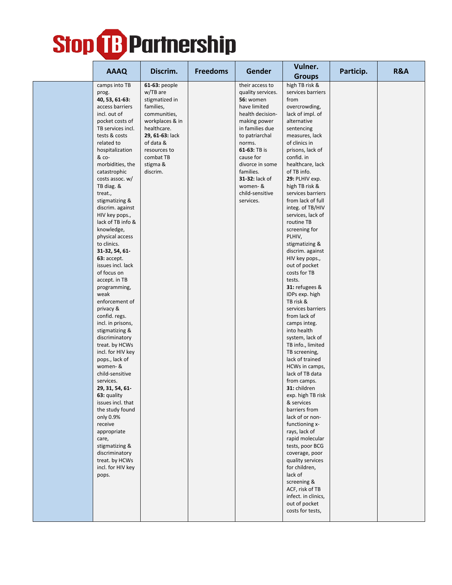|  |                                      |                 |                 |                   | Vulner.                                |           |                |
|--|--------------------------------------|-----------------|-----------------|-------------------|----------------------------------------|-----------|----------------|
|  | <b>AAAQ</b>                          | Discrim.        | <b>Freedoms</b> | Gender            | <b>Groups</b>                          | Particip. | <b>R&amp;A</b> |
|  | camps into TB                        | 61-63: people   |                 | their access to   | high TB risk &                         |           |                |
|  | prog.                                | w/TB are        |                 | quality services. | services barriers                      |           |                |
|  | 40, 53, 61-63:                       | stigmatized in  |                 | <b>56: women</b>  | from                                   |           |                |
|  | access barriers                      | families,       |                 | have limited      | overcrowding,                          |           |                |
|  | incl. out of                         | communities,    |                 | health decision-  | lack of impl. of                       |           |                |
|  | pocket costs of                      | workplaces & in |                 | making power      | alternative                            |           |                |
|  | TB services incl.                    | healthcare.     |                 | in families due   | sentencing                             |           |                |
|  | tests & costs                        | 29, 61-63: lack |                 | to patriarchal    | measures, lack                         |           |                |
|  | related to                           | of data &       |                 | norms.            | of clinics in                          |           |                |
|  | hospitalization                      | resources to    |                 | 61-63: TB is      | prisons, lack of                       |           |                |
|  | & co-                                | combat TB       |                 | cause for         | confid. in                             |           |                |
|  | morbidities, the                     | stigma &        |                 | divorce in some   | healthcare, lack                       |           |                |
|  | catastrophic                         | discrim.        |                 | families.         | of TB info.                            |           |                |
|  | costs assoc. w/                      |                 |                 | 31-32: lack of    | 29: PLHIV exp.                         |           |                |
|  | TB diag. &                           |                 |                 | women-&           | high TB risk &                         |           |                |
|  | treat.,                              |                 |                 | child-sensitive   | services barriers                      |           |                |
|  | stigmatizing &                       |                 |                 | services.         | from lack of full                      |           |                |
|  | discrim. against                     |                 |                 |                   | integ. of TB/HIV<br>services, lack of  |           |                |
|  | HIV key pops.,<br>lack of TB info &  |                 |                 |                   | routine TB                             |           |                |
|  | knowledge,                           |                 |                 |                   | screening for                          |           |                |
|  | physical access                      |                 |                 |                   | PLHIV,                                 |           |                |
|  | to clinics.                          |                 |                 |                   | stigmatizing &                         |           |                |
|  | 31-32, 54, 61-                       |                 |                 |                   | discrim. against                       |           |                |
|  | 63: accept.                          |                 |                 |                   | HIV key pops.,                         |           |                |
|  | issues incl. lack                    |                 |                 |                   | out of pocket                          |           |                |
|  | of focus on                          |                 |                 |                   | costs for TB                           |           |                |
|  | accept. in TB                        |                 |                 |                   | tests.                                 |           |                |
|  | programming,                         |                 |                 |                   | 31: refugees &                         |           |                |
|  | weak                                 |                 |                 |                   | IDPs exp. high                         |           |                |
|  | enforcement of                       |                 |                 |                   | TB risk &                              |           |                |
|  | privacy &<br>confid. regs.           |                 |                 |                   | services barriers<br>from lack of      |           |                |
|  | incl. in prisons,                    |                 |                 |                   | camps integ.                           |           |                |
|  | stigmatizing &                       |                 |                 |                   | into health                            |           |                |
|  | discriminatory                       |                 |                 |                   | system, lack of                        |           |                |
|  | treat. by HCWs                       |                 |                 |                   | TB info., limited                      |           |                |
|  | incl. for HIV key                    |                 |                 |                   | TB screening,                          |           |                |
|  | pops., lack of                       |                 |                 |                   | lack of trained                        |           |                |
|  | women-&                              |                 |                 |                   | HCWs in camps,                         |           |                |
|  | child-sensitive                      |                 |                 |                   | lack of TB data                        |           |                |
|  | services.                            |                 |                 |                   | from camps.                            |           |                |
|  | 29, 31, 54, 61                       |                 |                 |                   | 31: children                           |           |                |
|  | 63: quality                          |                 |                 |                   | exp. high TB risk                      |           |                |
|  | issues incl. that<br>the study found |                 |                 |                   | & services                             |           |                |
|  | only 0.9%                            |                 |                 |                   | barriers from<br>lack of or non-       |           |                |
|  | receive                              |                 |                 |                   | functioning x-                         |           |                |
|  | appropriate                          |                 |                 |                   | rays, lack of                          |           |                |
|  | care,                                |                 |                 |                   | rapid molecular                        |           |                |
|  | stigmatizing &                       |                 |                 |                   | tests, poor BCG                        |           |                |
|  | discriminatory                       |                 |                 |                   | coverage, poor                         |           |                |
|  | treat. by HCWs                       |                 |                 |                   | quality services                       |           |                |
|  | incl. for HIV key                    |                 |                 |                   | for children,                          |           |                |
|  | pops.                                |                 |                 |                   | lack of                                |           |                |
|  |                                      |                 |                 |                   | screening &                            |           |                |
|  |                                      |                 |                 |                   | ACF, risk of TB<br>infect. in clinics, |           |                |
|  |                                      |                 |                 |                   | out of pocket                          |           |                |
|  |                                      |                 |                 |                   | costs for tests,                       |           |                |
|  |                                      |                 |                 |                   |                                        |           |                |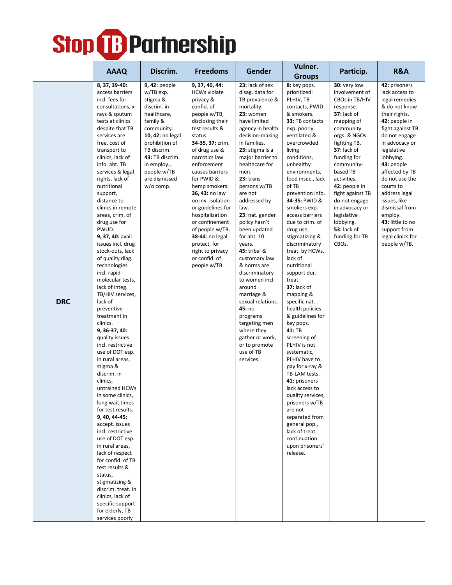|            |                                                                                                                                                                                                                                                                                                                                                                                                                                                                                                                                                                                                                                                                                                                                                                                                                          |                                                                                                                                                                                                                                                |                                                                                                                                                                                                                                                                                               |                                                                                                                                                                                                                                                                                                                                                       | Vulner.                                                                                                                                                                                                                                                                                                                                                                                                                                                                                                                                                                                             |                                                                                                                                                                                                                                                                                |                                                                                                                                                                                                                                                                                |
|------------|--------------------------------------------------------------------------------------------------------------------------------------------------------------------------------------------------------------------------------------------------------------------------------------------------------------------------------------------------------------------------------------------------------------------------------------------------------------------------------------------------------------------------------------------------------------------------------------------------------------------------------------------------------------------------------------------------------------------------------------------------------------------------------------------------------------------------|------------------------------------------------------------------------------------------------------------------------------------------------------------------------------------------------------------------------------------------------|-----------------------------------------------------------------------------------------------------------------------------------------------------------------------------------------------------------------------------------------------------------------------------------------------|-------------------------------------------------------------------------------------------------------------------------------------------------------------------------------------------------------------------------------------------------------------------------------------------------------------------------------------------------------|-----------------------------------------------------------------------------------------------------------------------------------------------------------------------------------------------------------------------------------------------------------------------------------------------------------------------------------------------------------------------------------------------------------------------------------------------------------------------------------------------------------------------------------------------------------------------------------------------------|--------------------------------------------------------------------------------------------------------------------------------------------------------------------------------------------------------------------------------------------------------------------------------|--------------------------------------------------------------------------------------------------------------------------------------------------------------------------------------------------------------------------------------------------------------------------------|
|            |                                                                                                                                                                                                                                                                                                                                                                                                                                                                                                                                                                                                                                                                                                                                                                                                                          |                                                                                                                                                                                                                                                |                                                                                                                                                                                                                                                                                               |                                                                                                                                                                                                                                                                                                                                                       | <b>Groups</b>                                                                                                                                                                                                                                                                                                                                                                                                                                                                                                                                                                                       |                                                                                                                                                                                                                                                                                |                                                                                                                                                                                                                                                                                |
|            | <b>AAAQ</b><br>8, 37, 39-40:<br>access barriers<br>incl. fees for<br>consultations, x-<br>rays & sputum<br>tests at clinics<br>despite that TB<br>services are<br>free, cost of<br>transport to<br>clinics, lack of<br>info. abt. TB<br>services & legal<br>rights, lack of<br>nutritional<br>support,                                                                                                                                                                                                                                                                                                                                                                                                                                                                                                                   | Discrim.<br>9, 42: people<br>w/TB exp.<br>stigma &<br>discrim. in<br>healthcare,<br>family &<br>community.<br>10, 42: no legal<br>prohibition of<br>TB discrim.<br>43: TB discrim.<br>in employ.,<br>people w/TB<br>are dismissed<br>w/o comp. | <b>Freedoms</b><br>9, 37, 40, 44:<br><b>HCWs violate</b><br>privacy &<br>confid. of<br>people w/TB,<br>disclosing their<br>test results &<br>status.<br>34-35, 37: crim.<br>of drug use &<br>narcotics law<br>enforcement<br>causes barriers<br>for PWID &<br>hemp smokers.<br>36, 43: no law | Gender<br>23: lack of sex<br>disag. data for<br>TB prevalence &<br>mortality.<br>23: women<br>have limited<br>agency in health<br>decision-making<br>in families.<br>23: stigma is a<br>major barrier to<br>healthcare for<br>men.<br>23: trans<br>persons w/TB<br>are not                                                                            | 8: key pops.<br>prioritized:<br>PLHIV, TB<br>contacts, PWID<br>& smokers.<br>33: TB contacts<br>exp. poorly<br>ventilated &<br>overcrowded<br>living<br>conditions,<br>unhealthy<br>environments,<br>food insec., lack<br>of TB<br>prevention info.                                                                                                                                                                                                                                                                                                                                                 | Particip.<br>30: very low<br>involvement of<br>CBOs in TB/HIV<br>response.<br><b>37:</b> lack of<br>mapping of<br>community<br>orgs. & NGOs<br>fighting TB.<br><b>37:</b> lack of<br>funding for<br>community-<br>based TB<br>activities.<br>42: people in<br>fight against TB | R&A<br>42: prisoners<br>lack access to<br>legal remedies<br>& do not know<br>their rights.<br>42: people in<br>fight against TB<br>do not engage<br>in advocacy or<br>legislative<br>lobbying.<br>43: people<br>affected by TB<br>do not use the<br>courts to<br>address legal |
| <b>DRC</b> | distance to<br>clinics in remote<br>areas, crim. of<br>drug use for<br>PWUD.<br>9, 37, 40: avail.<br>issues incl. drug<br>stock-outs, lack<br>of quality diag.<br>technologies<br>incl. rapid<br>molecular tests,<br>lack of integ.<br>TB/HIV services,<br>lack of<br>preventive<br>treatment in<br>clinics.<br>9, 36-37, 40:<br>quality issues<br>incl. restrictive<br>use of DOT esp.<br>in rural areas,<br>stigma &<br>discrim. in<br>clinics,<br>untrained HCWs<br>in some clinics,<br>long wait times<br>for test results.<br>9, 40, 44-45:<br>accept. issues<br>incl. restrictive<br>use of DOT esp.<br>in rural areas,<br>lack of respect<br>for confid. of TB<br>test results &<br>status,<br>stigmatizing &<br>discrim. treat. in<br>clinics, lack of<br>specific support<br>for elderly, TB<br>services poorly |                                                                                                                                                                                                                                                | on inv. isolation<br>or guidelines for<br>hospitalization<br>or confinement<br>of people w/TB.<br>38-44: no legal<br>protect. for<br>right to privacy<br>or confid. of<br>people w/TB.                                                                                                        | addressed by<br>law.<br>23: nat. gender<br>policy hasn't<br>been updated<br>for abt. 10<br>years.<br>45: tribal &<br>customary law<br>& norms are<br>discriminatory<br>to women incl.<br>around<br>marriage &<br>sexual relations.<br>45: no<br>programs<br>targeting men<br>where they<br>gather or work,<br>or to promote<br>use of TB<br>services. | 34-35: PWID &<br>smokers exp.<br>access barriers<br>due to crim. of<br>drug use,<br>stigmatizing &<br>discriminatory<br>treat. by HCWs,<br>lack of<br>nutritional<br>support dur.<br>treat.<br>37: lack of<br>mapping &<br>specific nat.<br>health policies<br>& guidelines for<br>key pops.<br>41: TB<br>screening of<br>PLHIV is not<br>systematic,<br>PLHIV have to<br>pay for x-ray &<br>TB-LAM tests.<br>41: prisoners<br>lack access to<br>quality services,<br>prisoners w/TB<br>are not<br>separated from<br>general pop.,<br>lack of treat.<br>continuation<br>upon prisoners'<br>release. | do not engage<br>in advocacy or<br>legislative<br>lobbying.<br><b>53:</b> lack of<br>funding for TB<br>CBOs.                                                                                                                                                                   | issues, like<br>dismissal from<br>employ.<br>43: little to no<br>support from<br>legal clinics for<br>people w/TB.                                                                                                                                                             |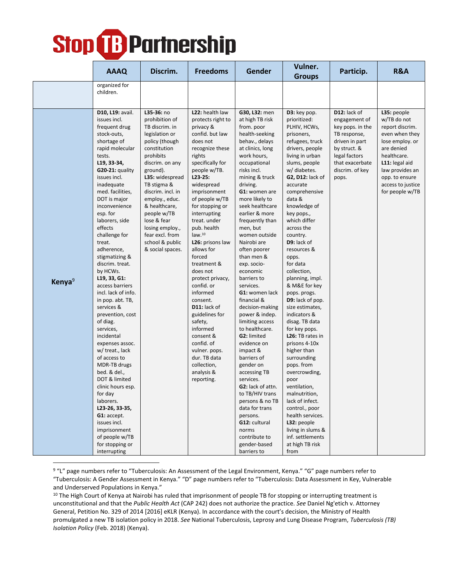|                    | <b>AAAQ</b>                                                                                                                                                                                                                                                                                                                                                                                                                                                                                                                                                                                                                                                                                                                                                                                                | Discrim.                                                                                                                                                                                                                                                                                                                                            | <b>Freedoms</b>                                                                                                                                                                                                                                                                                                                                                                                                                                                                                                                                                                                         | Gender                                                                                                                                                                                                                                                                                                                                                                                                                                                                                                                                                                                                                                                                                                                                                                                                 | Vulner.<br><b>Groups</b>                                                                                                                                                                                                                                                                                                                                                                                                                                                                                                                                                                                                                                                                                                                                                                       | Particip.                                                                                                                                                           | <b>R&amp;A</b>                                                                                                                                                                                                 |
|--------------------|------------------------------------------------------------------------------------------------------------------------------------------------------------------------------------------------------------------------------------------------------------------------------------------------------------------------------------------------------------------------------------------------------------------------------------------------------------------------------------------------------------------------------------------------------------------------------------------------------------------------------------------------------------------------------------------------------------------------------------------------------------------------------------------------------------|-----------------------------------------------------------------------------------------------------------------------------------------------------------------------------------------------------------------------------------------------------------------------------------------------------------------------------------------------------|---------------------------------------------------------------------------------------------------------------------------------------------------------------------------------------------------------------------------------------------------------------------------------------------------------------------------------------------------------------------------------------------------------------------------------------------------------------------------------------------------------------------------------------------------------------------------------------------------------|--------------------------------------------------------------------------------------------------------------------------------------------------------------------------------------------------------------------------------------------------------------------------------------------------------------------------------------------------------------------------------------------------------------------------------------------------------------------------------------------------------------------------------------------------------------------------------------------------------------------------------------------------------------------------------------------------------------------------------------------------------------------------------------------------------|------------------------------------------------------------------------------------------------------------------------------------------------------------------------------------------------------------------------------------------------------------------------------------------------------------------------------------------------------------------------------------------------------------------------------------------------------------------------------------------------------------------------------------------------------------------------------------------------------------------------------------------------------------------------------------------------------------------------------------------------------------------------------------------------|---------------------------------------------------------------------------------------------------------------------------------------------------------------------|----------------------------------------------------------------------------------------------------------------------------------------------------------------------------------------------------------------|
|                    | organized for<br>children.                                                                                                                                                                                                                                                                                                                                                                                                                                                                                                                                                                                                                                                                                                                                                                                 |                                                                                                                                                                                                                                                                                                                                                     |                                                                                                                                                                                                                                                                                                                                                                                                                                                                                                                                                                                                         |                                                                                                                                                                                                                                                                                                                                                                                                                                                                                                                                                                                                                                                                                                                                                                                                        |                                                                                                                                                                                                                                                                                                                                                                                                                                                                                                                                                                                                                                                                                                                                                                                                |                                                                                                                                                                     |                                                                                                                                                                                                                |
| Kenya <sup>9</sup> | D10, L19: avail.<br>issues incl.<br>frequent drug<br>stock-outs,<br>shortage of<br>rapid molecular<br>tests.<br>L19, 33-34,<br>$G20-21:$ quality<br>issues incl.<br>inadequate<br>med. facilities,<br>DOT is major<br>inconvenience<br>esp. for<br>laborers, side<br>effects<br>challenge for<br>treat.<br>adherence,<br>stigmatizing &<br>discrim. treat.<br>by HCWs.<br>$L$ 19, 33, G1:<br>access barriers<br>incl. lack of info.<br>in pop. abt. TB,<br>services &<br>prevention, cost<br>of diag.<br>services,<br>incidental<br>expenses assoc.<br>w/ treat., lack<br>of access to<br>MDR-TB drugs<br>bed. & del.,<br>DOT & limited<br>clinic hours esp.<br>for day<br>laborers.<br>L23-26, 33-35,<br>G1: accept.<br>issues incl.<br>imprisonment<br>of people w/TB<br>for stopping or<br>interrupting | L35-36: no<br>prohibition of<br>TB discrim. in<br>legislation or<br>policy (though<br>constitution<br>prohibits<br>discrim. on any<br>ground).<br>L35: widespread<br>TB stigma &<br>discrim. incl. in<br>employ., educ.<br>& healthcare,<br>people w/TB<br>lose & fear<br>losing employ.,<br>fear excl. from<br>school & public<br>& social spaces. | L22: health law<br>protects right to<br>privacy &<br>confid. but law<br>does not<br>recognize these<br>rights<br>specifically for<br>people w/TB.<br>$L23-25:$<br>widespread<br>imprisonment<br>of people w/TB<br>for stopping or<br>interrupting<br>treat. under<br>pub. health<br>law. <sup>10</sup><br>L26: prisons law<br>allows for<br>forced<br>treatment &<br>does not<br>protect privacy,<br>confid. or<br>informed<br>consent.<br>D11: lack of<br>guidelines for<br>safety,<br>informed<br>consent &<br>confid. of<br>vulner. pops.<br>dur. TB data<br>collection,<br>analysis &<br>reporting. | G30, L32: men<br>at high TB risk<br>from. poor<br>health-seeking<br>behav., delays<br>at clinics, long<br>work hours,<br>occupational<br>risks incl.<br>mining & truck<br>driving.<br>G1: women are<br>more likely to<br>seek healthcare<br>earlier & more<br>frequently than<br>men, but<br>women outside<br>Nairobi are<br>often poorer<br>than men &<br>exp. socio-<br>economic<br>barriers to<br>services.<br><b>G1:</b> women lack<br>financial &<br>decision-making<br>power & indep.<br>limiting access<br>to healthcare.<br>G2: limited<br>evidence on<br>impact &<br>barriers of<br>gender on<br>accessing TB<br>services.<br>G2: lack of attn.<br>to TB/HIV trans<br>persons & no TB<br>data for trans<br>persons.<br>G12: cultural<br>norms<br>contribute to<br>gender-based<br>barriers to | D3: key pop.<br>prioritized:<br>PLHIV, HCWs,<br>prisoners,<br>refugees, truck<br>drivers, people<br>living in urban<br>slums, people<br>w/ diabetes.<br>G2, D12: lack of<br>accurate<br>comprehensive<br>data &<br>knowledge of<br>key pops.,<br>which differ<br>across the<br>country.<br>D9: lack of<br>resources &<br>opps.<br>for data<br>collection,<br>planning, impl.<br>& M&E for key<br>pops. progs.<br>D9: lack of pop.<br>size estimates,<br>indicators &<br>disag. TB data<br>for key pops.<br>L26: TB rates in<br>prisons 4-10x<br>higher than<br>surrounding<br>pops. from<br>overcrowding,<br>poor<br>ventilation,<br>malnutrition,<br>lack of infect.<br>control., poor<br>health services.<br>L32: people<br>living in slums &<br>inf. settlements<br>at high TB risk<br>from | D12: lack of<br>engagement of<br>key pops. in the<br>TB response,<br>driven in part<br>by struct. &<br>legal factors<br>that exacerbate<br>discrim. of key<br>pops. | L35: people<br>w/TB do not<br>report discrim.<br>even when they<br>lose employ. or<br>are denied<br>healthcare.<br>L11: legal aid<br>law provides an<br>opp. to ensure<br>access to justice<br>for people w/TB |

<sup>9</sup> "L" page numbers refer to "Tuberculosis: An Assessment of the Legal Environment, Kenya." "G" page numbers refer to "Tuberculosis: A Gender Assessment in Kenya." "D" page numbers refer to "Tuberculosis: Data Assessment in Key, Vulnerable and Underserved Populations in Kenya."

<sup>10</sup> The High Court of Kenya at Nairobi has ruled that imprisonment of people TB for stopping or interrupting treatment is unconstitutional and that the *Public Health Act* (CAP 242) does not authorize the practice. *See* Daniel Ng'etich v. Attorney General, Petition No. 329 of 2014 [2016] eKLR (Kenya). In accordance with the court's decision, the Ministry of Health promulgated a new TB isolation policy in 2018. *See* National Tuberculosis, Leprosy and Lung Disease Program, *Tuberculosis (TB) Isolation Policy* (Feb. 2018) (Kenya).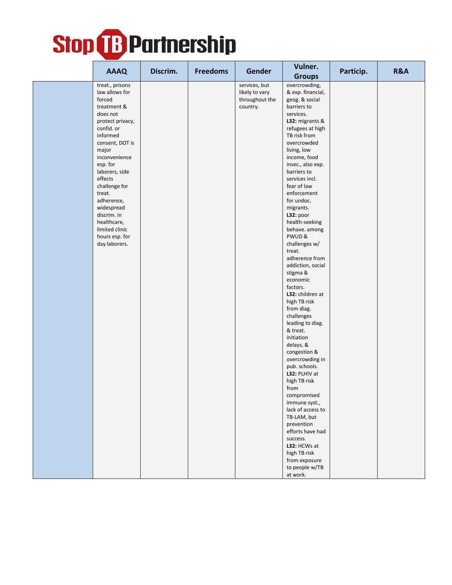| <b>AAAQ</b>                                                                                                                                                                                                                                                                                                                                          | Discrim. | <b>Freedoms</b> | <b>Gender</b>                                                 | Vulner.<br><b>Groups</b>                                                                                                                                                                                                                                                                                                                                                                                                                                                                                                                                                                                                                                                                                                                                                                                                                                                                     | Particip. | <b>R&amp;A</b> |
|------------------------------------------------------------------------------------------------------------------------------------------------------------------------------------------------------------------------------------------------------------------------------------------------------------------------------------------------------|----------|-----------------|---------------------------------------------------------------|----------------------------------------------------------------------------------------------------------------------------------------------------------------------------------------------------------------------------------------------------------------------------------------------------------------------------------------------------------------------------------------------------------------------------------------------------------------------------------------------------------------------------------------------------------------------------------------------------------------------------------------------------------------------------------------------------------------------------------------------------------------------------------------------------------------------------------------------------------------------------------------------|-----------|----------------|
| treat., prisons<br>law allows for<br>forced<br>treatment &<br>does not<br>protect privacy,<br>confid. or<br>informed<br>consent, DOT is<br>major<br>inconvenience<br>esp. for<br>laborers, side<br>effects<br>challenge for<br>treat.<br>adherence,<br>widespread<br>discrim. in<br>healthcare,<br>limited clinic<br>hours esp. for<br>day laborers. |          |                 | services, but<br>likely to vary<br>throughout the<br>country. | overcrowding,<br>& exp. financial,<br>geog. & social<br>barriers to<br>services.<br>L32: migrants &<br>refugees at high<br>TB risk from<br>overcrowded<br>living, low<br>income, food<br>insec., also exp.<br>barriers to<br>services incl.<br>fear of law<br>enforcement<br>for undoc.<br>migrants.<br>L32: poor<br>health-seeking<br>behave. among<br>PWUD&<br>challenges w/<br>treat.<br>adherence from<br>addiction, social<br>stigma &<br>economic<br>factors.<br>L32: children at<br>high TB risk<br>from diag.<br>challenges<br>leading to diag.<br>& treat.<br>initiation<br>delays, &<br>congestion &<br>overcrowding in<br>pub. schools.<br>L32: PLHIV at<br>high TB risk<br>from<br>compromised<br>immune syst.,<br>lack of access to<br>TB-LAM, but<br>prevention<br>efforts have had<br>success.<br>L32: HCWs at<br>high TB risk<br>from exposure<br>to people w/TB<br>at work. |           |                |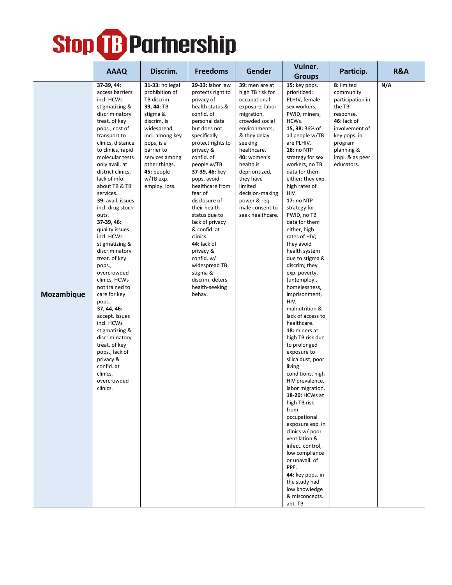|            |                                                                                                                                                                                                                                                                                                                                                                                                                                                                                                                                                                                                                                                                                                                          |                                                                                                                                                                                                                                        |                                                                                                                                                                                                                                                                                                                                                                                                                                                                                                    |                                                                                                                                                                                                                                                                                                                         | Vulner.                                                                                                                                                                                                                                                                                                                                                                                                                                                                                                                                                                                                                                                                                                                                                                                                                                                                                                                                                                                                             |                                                                                                                                                                               | R&A |
|------------|--------------------------------------------------------------------------------------------------------------------------------------------------------------------------------------------------------------------------------------------------------------------------------------------------------------------------------------------------------------------------------------------------------------------------------------------------------------------------------------------------------------------------------------------------------------------------------------------------------------------------------------------------------------------------------------------------------------------------|----------------------------------------------------------------------------------------------------------------------------------------------------------------------------------------------------------------------------------------|----------------------------------------------------------------------------------------------------------------------------------------------------------------------------------------------------------------------------------------------------------------------------------------------------------------------------------------------------------------------------------------------------------------------------------------------------------------------------------------------------|-------------------------------------------------------------------------------------------------------------------------------------------------------------------------------------------------------------------------------------------------------------------------------------------------------------------------|---------------------------------------------------------------------------------------------------------------------------------------------------------------------------------------------------------------------------------------------------------------------------------------------------------------------------------------------------------------------------------------------------------------------------------------------------------------------------------------------------------------------------------------------------------------------------------------------------------------------------------------------------------------------------------------------------------------------------------------------------------------------------------------------------------------------------------------------------------------------------------------------------------------------------------------------------------------------------------------------------------------------|-------------------------------------------------------------------------------------------------------------------------------------------------------------------------------|-----|
|            | <b>AAAQ</b>                                                                                                                                                                                                                                                                                                                                                                                                                                                                                                                                                                                                                                                                                                              | Discrim.                                                                                                                                                                                                                               | <b>Freedoms</b>                                                                                                                                                                                                                                                                                                                                                                                                                                                                                    | Gender                                                                                                                                                                                                                                                                                                                  | <b>Groups</b>                                                                                                                                                                                                                                                                                                                                                                                                                                                                                                                                                                                                                                                                                                                                                                                                                                                                                                                                                                                                       | Particip.                                                                                                                                                                     |     |
| Mozambique | 37-39, 44:<br>access barriers<br>incl. HCWs<br>stigmatizing &<br>discriminatory<br>treat. of key<br>pops., cost of<br>transport to<br>clinics, distance<br>to clinics, rapid<br>molecular tests<br>only avail. at<br>district clinics,<br>lack of info.<br>about TB & TB<br>services.<br>39: avail. issues<br>incl. drug stock-<br>outs.<br>37-39, 46:<br>quality issues<br>incl. HCWs<br>stigmatizing &<br>discriminatory<br>treat. of key<br>pops.,<br>overcrowded<br>clinics, HCWs<br>not trained to<br>care for key<br>pops.<br>37, 44, 46:<br>accept. issues<br>incl. HCWs<br>stigmatizing &<br>discriminatory<br>treat. of key<br>pops., lack of<br>privacy &<br>confid. at<br>clinics,<br>overcrowded<br>clinics. | 31-33: no legal<br>prohibition of<br>TB discrim.<br>39, 44: TB<br>stigma &<br>discrim. is<br>widespread,<br>incl. among key<br>pops, is a<br>barrier to<br>services among<br>other things.<br>45: people<br>w/TB exp.<br>employ. loss. | 29-33: labor law<br>protects right to<br>privacy of<br>health status &<br>confid. of<br>personal data<br>but does not<br>specifically<br>protect rights to<br>privacy &<br>confid. of<br>people w/TB.<br>37-39, 46: key<br>pops. avoid<br>healthcare from<br>fear of<br>disclosure of<br>their health<br>status due to<br>lack of privacy<br>& confid. at<br>clinics.<br><b>44:</b> lack of<br>privacy &<br>confid. w/<br>widespread TB<br>stigma &<br>discrim. deters<br>health-seeking<br>behav. | <b>39:</b> men are at<br>high TB risk for<br>occupational<br>exposure, labor<br>migration,<br>crowded social<br>environments,<br>& they delay<br>seeking<br>healthcare.<br>40: women's<br>health is<br>deprioritized,<br>they have<br>limited<br>decision-making<br>power & req.<br>male consent to<br>seek healthcare. | 15: key pops.<br>prioritized:<br>PLHIV, female<br>sex workers,<br>PWID, miners,<br>HCWs.<br>15, 38: 36% of<br>all people w/TB<br>are PLHIV.<br><b>16: no NTP</b><br>strategy for sex<br>workers, no TB<br>data for them<br>either; they exp.<br>high rates of<br>HIV.<br><b>17: no NTP</b><br>strategy for<br>PWID, no TB<br>data for them<br>either, high<br>rates of HIV;<br>they avoid<br>health system<br>due to stigma &<br>discrim; they<br>exp. poverty,<br>(un)employ.,<br>homelessness,<br>imprisonment,<br>HIV,<br>malnutrition &<br>lack of access to<br>healthcare.<br>18: miners at<br>high TB risk due<br>to prolonged<br>exposure to<br>silica dust, poor<br>living<br>conditions, high<br>HIV prevalence,<br>labor migration.<br>18-20: HCWs at<br>high TB risk<br>from<br>occupational<br>exposure esp. in<br>clinics w/ poor<br>ventilation &<br>infect. control,<br>low compliance<br>or unavail. of<br>PPE.<br>44: key pops. in<br>the study had<br>low knowledge<br>& misconcepts.<br>abt. TB. | 8: limited<br>community<br>participation in<br>the TB<br>response.<br>46: lack of<br>involvement of<br>key pops. in<br>program<br>planning &<br>impl. & as peer<br>educators. | N/A |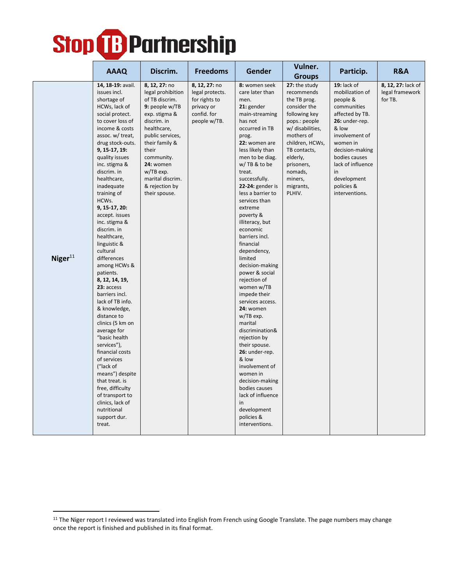|            | <b>AAAQ</b>                                                                                                                                                                                                                                                                                                                                                                                                                                                                                                                                                                                                                                                                                                                                                                                                          | Discrim.                                                                                                                                                                                                                                                            | <b>Freedoms</b>                                                                                | Gender                                                                                                                                                                                                                                                                                                                                                                                                                                                                                                                                                                                                                                                                                                                                                             | Vulner.                                                                                                                                                                                                                                                    | Particip.                                                                                                                                                                                                                                           | <b>R&amp;A</b>                                   |
|------------|----------------------------------------------------------------------------------------------------------------------------------------------------------------------------------------------------------------------------------------------------------------------------------------------------------------------------------------------------------------------------------------------------------------------------------------------------------------------------------------------------------------------------------------------------------------------------------------------------------------------------------------------------------------------------------------------------------------------------------------------------------------------------------------------------------------------|---------------------------------------------------------------------------------------------------------------------------------------------------------------------------------------------------------------------------------------------------------------------|------------------------------------------------------------------------------------------------|--------------------------------------------------------------------------------------------------------------------------------------------------------------------------------------------------------------------------------------------------------------------------------------------------------------------------------------------------------------------------------------------------------------------------------------------------------------------------------------------------------------------------------------------------------------------------------------------------------------------------------------------------------------------------------------------------------------------------------------------------------------------|------------------------------------------------------------------------------------------------------------------------------------------------------------------------------------------------------------------------------------------------------------|-----------------------------------------------------------------------------------------------------------------------------------------------------------------------------------------------------------------------------------------------------|--------------------------------------------------|
| Niger $11$ | 14, 18-19: avail.<br>issues incl.<br>shortage of<br>HCWs, lack of<br>social protect.<br>to cover loss of<br>income & costs<br>assoc. w/ treat,<br>drug stock-outs.<br>9, 15-17, 19:<br>quality issues<br>inc. stigma &<br>discrim. in<br>healthcare,<br>inadequate<br>training of<br>HCWs.<br>9, 15-17, 20:<br>accept. issues<br>inc. stigma &<br>discrim. in<br>healthcare,<br>linguistic &<br>cultural<br>differences<br>among HCWs &<br>patients.<br>8, 12, 14, 19,<br>23: access<br>barriers incl.<br>lack of TB info.<br>& knowledge,<br>distance to<br>clinics (5 km on<br>average for<br>"basic health<br>services"),<br>financial costs<br>of services<br>("lack of<br>means") despite<br>that treat. is<br>free, difficulty<br>of transport to<br>clinics, lack of<br>nutritional<br>support dur.<br>treat. | 8, 12, 27: no<br>legal prohibition<br>of TB discrim.<br>9: people w/TB<br>exp. stigma &<br>discrim. in<br>healthcare,<br>public services,<br>their family &<br>their<br>community.<br>24: women<br>w/TB exp.<br>marital discrim.<br>& rejection by<br>their spouse. | 8, 12, 27: no<br>legal protects.<br>for rights to<br>privacy or<br>confid. for<br>people w/TB. | 8: women seek<br>care later than<br>men.<br>21: gender<br>main-streaming<br>has not<br>occurred in TB<br>prog.<br>22: women are<br>less likely than<br>men to be diag.<br>w/TB & to be<br>treat.<br>successfully.<br>22-24: gender is<br>less a barrier to<br>services than<br>extreme<br>poverty &<br>illiteracy, but<br>economic<br>barriers incl.<br>financial<br>dependency,<br>limited<br>decision-making<br>power & social<br>rejection of<br>women w/TB<br>impede their<br>services access.<br>24: women<br>w/TB exp.<br>marital<br>discrimination&<br>rejection by<br>their spouse.<br>26: under-rep.<br>& low<br>involvement of<br>women in<br>decision-making<br>bodies causes<br>lack of influence<br>in<br>development<br>policies &<br>interventions. | <b>Groups</b><br>27: the study<br>recommends<br>the TB prog.<br>consider the<br>following key<br>pops.: people<br>w/ disabilities,<br>mothers of<br>children, HCWs,<br>TB contacts,<br>elderly,<br>prisoners,<br>nomads,<br>miners,<br>migrants,<br>PLHIV. | 19: lack of<br>mobilization of<br>people &<br>communities<br>affected by TB.<br>26: under-rep.<br>& low<br>involvement of<br>women in<br>decision-making<br>bodies causes<br>lack of influence<br>in<br>development<br>policies &<br>interventions. | 8, 12, 27: lack of<br>legal framework<br>for TB. |

<sup>&</sup>lt;sup>11</sup> The Niger report I reviewed was translated into English from French using Google Translate. The page numbers may change once the report is finished and published in its final format.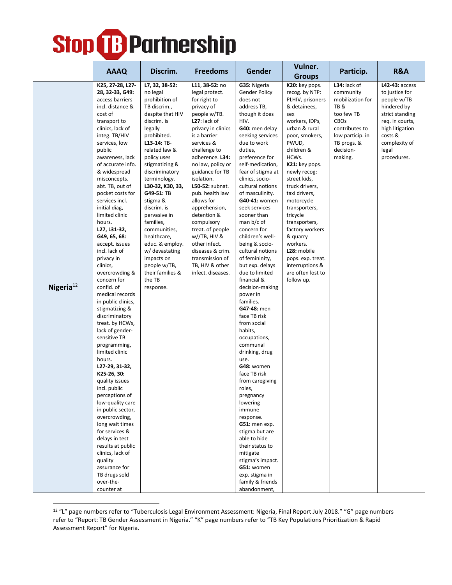|                 | <b>AAAQ</b>                                                                                                                                                                                                                                                                                                                                                                                                                                                                                                                                                                                                                                                                                                                                                                                                                                                                                                                                                                                           |                                                                                                                                                                                                                                                                                                                                                                                                                                                                     |                                                                                                                                                                                                                                                                                                                                                                                                                                                                                        | Gender                                                                                                                                                                                                                                                                                                                                                                                                                                                                                                                                                                                                                                                                                                                                                                                                                                                                                                                                  | Vulner.                                                                                                                                                                                                                                                                                                                                                                                                                                                |                                                                                                                                                         | <b>R&amp;A</b>                                                                                                                                                              |
|-----------------|-------------------------------------------------------------------------------------------------------------------------------------------------------------------------------------------------------------------------------------------------------------------------------------------------------------------------------------------------------------------------------------------------------------------------------------------------------------------------------------------------------------------------------------------------------------------------------------------------------------------------------------------------------------------------------------------------------------------------------------------------------------------------------------------------------------------------------------------------------------------------------------------------------------------------------------------------------------------------------------------------------|---------------------------------------------------------------------------------------------------------------------------------------------------------------------------------------------------------------------------------------------------------------------------------------------------------------------------------------------------------------------------------------------------------------------------------------------------------------------|----------------------------------------------------------------------------------------------------------------------------------------------------------------------------------------------------------------------------------------------------------------------------------------------------------------------------------------------------------------------------------------------------------------------------------------------------------------------------------------|-----------------------------------------------------------------------------------------------------------------------------------------------------------------------------------------------------------------------------------------------------------------------------------------------------------------------------------------------------------------------------------------------------------------------------------------------------------------------------------------------------------------------------------------------------------------------------------------------------------------------------------------------------------------------------------------------------------------------------------------------------------------------------------------------------------------------------------------------------------------------------------------------------------------------------------------|--------------------------------------------------------------------------------------------------------------------------------------------------------------------------------------------------------------------------------------------------------------------------------------------------------------------------------------------------------------------------------------------------------------------------------------------------------|---------------------------------------------------------------------------------------------------------------------------------------------------------|-----------------------------------------------------------------------------------------------------------------------------------------------------------------------------|
|                 |                                                                                                                                                                                                                                                                                                                                                                                                                                                                                                                                                                                                                                                                                                                                                                                                                                                                                                                                                                                                       | Discrim.                                                                                                                                                                                                                                                                                                                                                                                                                                                            | <b>Freedoms</b>                                                                                                                                                                                                                                                                                                                                                                                                                                                                        |                                                                                                                                                                                                                                                                                                                                                                                                                                                                                                                                                                                                                                                                                                                                                                                                                                                                                                                                         | <b>Groups</b>                                                                                                                                                                                                                                                                                                                                                                                                                                          | Particip.                                                                                                                                               |                                                                                                                                                                             |
| Nigeria $^{12}$ | K25, 27-28, L27-<br>28, 32-33, G49:<br>access barriers<br>incl. distance &<br>cost of<br>transport to<br>clinics, lack of<br>integ. TB/HIV<br>services, low<br>public<br>awareness, lack<br>of accurate info.<br>& widespread<br>misconcepts.<br>abt. TB, out of<br>pocket costs for<br>services incl.<br>initial diag,<br>limited clinic<br>hours.<br>L27, L31-32,<br>G49, 65, 68:<br>accept. issues<br>incl. lack of<br>privacy in<br>clinics,<br>overcrowding &<br>concern for<br>confid. of<br>medical records<br>in public clinics,<br>stigmatizing &<br>discriminatory<br>treat. by HCWs,<br>lack of gender-<br>sensitive TB<br>programming,<br>limited clinic<br>hours.<br>L27-29, 31-32,<br>K25-26, 30:<br>quality issues<br>incl. public<br>perceptions of<br>low-quality care<br>in public sector,<br>overcrowding,<br>long wait times<br>for services &<br>delays in test<br>results at public<br>clinics, lack of<br>quality<br>assurance for<br>TB drugs sold<br>over-the-<br>counter at | L7, 32, 38-52:<br>no legal<br>prohibition of<br>TB discrim.,<br>despite that HIV<br>discrim. is<br>legally<br>prohibited.<br>L13-14: TB-<br>related law &<br>policy uses<br>stigmatizing &<br>discriminatory<br>terminology.<br>L30-32, K30, 33,<br>G49-51: TB<br>stigma &<br>discrim. is<br>pervasive in<br>families,<br>communities,<br>healthcare,<br>educ. & employ.<br>w/ devastating<br>impacts on<br>people w/TB,<br>their families &<br>the TB<br>response. | L11, 38-52: no<br>legal protect.<br>for right to<br>privacy of<br>people w/TB.<br>$L27:$ lack of<br>privacy in clinics<br>is a barrier<br>services &<br>challenge to<br>adherence. L34:<br>no law, policy or<br>guidance for TB<br>isolation.<br>L50-52: subnat.<br>pub. health law<br>allows for<br>apprehension,<br>detention &<br>compulsory<br>treat. of people<br>$w$ //TB, HIV &<br>other infect.<br>diseases & crim.<br>transmission of<br>TB, HIV & other<br>infect. diseases. | G35: Nigeria<br>Gender Policy<br>does not<br>address TB,<br>though it does<br>HIV.<br>G40: men delay<br>seeking services<br>due to work<br>duties,<br>preference for<br>self-medication,<br>fear of stigma at<br>clinics, socio-<br>cultural notions<br>of masculinity.<br>G40-41: women<br>seek services<br>sooner than<br>man $b/c$ of<br>concern for<br>children's well-<br>being & socio-<br>cultural notions<br>of femininity,<br>but exp. delays<br>due to limited<br>financial &<br>decision-making<br>power in<br>families.<br>G47-48: men<br>face TB risk<br>from social<br>habits,<br>occupations,<br>communal<br>drinking, drug<br>use.<br>G48: women<br>face TB risk<br>from caregiving<br>roles,<br>pregnancy<br>lowering<br>immune<br>response.<br>G51: men exp.<br>stigma but are<br>able to hide<br>their status to<br>mitigate<br>stigma's impact.<br>G51: women<br>exp. stigma in<br>family & friends<br>abandonment, | K20: key pops.<br>recog. by NTP:<br>PLHIV, prisoners<br>& detainees,<br>sex<br>workers, IDPs,<br>urban & rural<br>poor, smokers,<br>PWUD.<br>children &<br>HCWs.<br>K21: key pops.<br>newly recog:<br>street kids,<br>truck drivers,<br>taxi drivers,<br>motorcycle<br>transporters,<br>tricycle<br>transporters,<br>factory workers<br>& quarry<br>workers.<br>L28: mobile<br>pops. exp. treat.<br>interruptions &<br>are often lost to<br>follow up. | L34: lack of<br>community<br>mobilization for<br>TB&<br>too few TB<br>CBOs<br>contributes to<br>low particip. in<br>TB progs. &<br>decision-<br>making. | L42-43: access<br>to justice for<br>people w/TB<br>hindered by<br>strict standing<br>req. in courts,<br>high litigation<br>costs &<br>complexity of<br>legal<br>procedures. |

<sup>12</sup> "L" page numbers refer to "Tuberculosis Legal Environment Assessment: Nigeria, Final Report July 2018." "G" page numbers refer to "Report: TB Gender Assessment in Nigeria." "K" page numbers refer to "TB Key Populations Prioritization & Rapid Assessment Report" for Nigeria.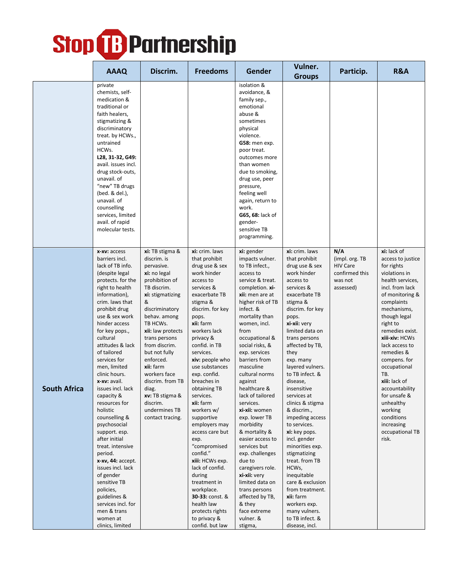|                     | <b>AAAQ</b>                                                                                                                                                                                                                                                                                                                                                                                                                                                                                                                                                                                                                                                                       | Discrim.                                                                                                                                                                                                                                                                                                                                                                                | <b>Freedoms</b>                                                                                                                                                                                                                                                                                                                                                                                                                                                                                                                                                                                                      | Gender                                                                                                                                                                                                                                                                                                                                                                                                                                                                                                                                                                                                                                             | Vulner.                                                                                                                                                                                                                                                                                                                                                                                                                                                                                                                                                                                                                                          | Particip.                                                                           | R&A                                                                                                                                                                                                                                                                                                                                                                                                                               |
|---------------------|-----------------------------------------------------------------------------------------------------------------------------------------------------------------------------------------------------------------------------------------------------------------------------------------------------------------------------------------------------------------------------------------------------------------------------------------------------------------------------------------------------------------------------------------------------------------------------------------------------------------------------------------------------------------------------------|-----------------------------------------------------------------------------------------------------------------------------------------------------------------------------------------------------------------------------------------------------------------------------------------------------------------------------------------------------------------------------------------|----------------------------------------------------------------------------------------------------------------------------------------------------------------------------------------------------------------------------------------------------------------------------------------------------------------------------------------------------------------------------------------------------------------------------------------------------------------------------------------------------------------------------------------------------------------------------------------------------------------------|----------------------------------------------------------------------------------------------------------------------------------------------------------------------------------------------------------------------------------------------------------------------------------------------------------------------------------------------------------------------------------------------------------------------------------------------------------------------------------------------------------------------------------------------------------------------------------------------------------------------------------------------------|--------------------------------------------------------------------------------------------------------------------------------------------------------------------------------------------------------------------------------------------------------------------------------------------------------------------------------------------------------------------------------------------------------------------------------------------------------------------------------------------------------------------------------------------------------------------------------------------------------------------------------------------------|-------------------------------------------------------------------------------------|-----------------------------------------------------------------------------------------------------------------------------------------------------------------------------------------------------------------------------------------------------------------------------------------------------------------------------------------------------------------------------------------------------------------------------------|
|                     |                                                                                                                                                                                                                                                                                                                                                                                                                                                                                                                                                                                                                                                                                   |                                                                                                                                                                                                                                                                                                                                                                                         |                                                                                                                                                                                                                                                                                                                                                                                                                                                                                                                                                                                                                      |                                                                                                                                                                                                                                                                                                                                                                                                                                                                                                                                                                                                                                                    | <b>Groups</b>                                                                                                                                                                                                                                                                                                                                                                                                                                                                                                                                                                                                                                    |                                                                                     |                                                                                                                                                                                                                                                                                                                                                                                                                                   |
|                     | private<br>chemists, self-<br>medication &<br>traditional or<br>faith healers,<br>stigmatizing &<br>discriminatory<br>treat. by HCWs.,<br>untrained<br>HCWs.<br>L28, 31-32, G49:<br>avail. issues incl.<br>drug stock-outs,<br>unavail. of<br>"new" TB drugs<br>(bed. & del.),<br>unavail. of<br>counselling<br>services, limited<br>avail. of rapid<br>molecular tests.                                                                                                                                                                                                                                                                                                          |                                                                                                                                                                                                                                                                                                                                                                                         |                                                                                                                                                                                                                                                                                                                                                                                                                                                                                                                                                                                                                      | isolation &<br>avoidance, &<br>family sep.,<br>emotional<br>abuse &<br>sometimes<br>physical<br>violence.<br>G58: men exp.<br>poor treat.<br>outcomes more<br>than women<br>due to smoking,<br>drug use, peer<br>pressure,<br>feeling well<br>again, return to<br>work.<br>G65, 68: lack of<br>gender-<br>sensitive TB<br>programming.                                                                                                                                                                                                                                                                                                             |                                                                                                                                                                                                                                                                                                                                                                                                                                                                                                                                                                                                                                                  |                                                                                     |                                                                                                                                                                                                                                                                                                                                                                                                                                   |
| <b>South Africa</b> | x-xv: access<br>barriers incl.<br>lack of TB info.<br>(despite legal<br>protects. for the<br>right to health<br>information),<br>crim. laws that<br>prohibit drug<br>use & sex work<br>hinder access<br>for key pops.,<br>cultural<br>attitudes & lack<br>of tailored<br>services for<br>men, limited<br>clinic hours.<br>x-xv: avail.<br>issues incl. lack<br>capacity &<br>resources for<br>holistic<br>counselling &<br>psychosocial<br>support. esp.<br>after initial<br>treat. intensive<br>period.<br>x-xv, 44: accept.<br>issues incl. lack<br>of gender<br>sensitive TB<br>policies,<br>guidelines &<br>services incl. for<br>men & trans<br>women at<br>clinics, limited | xi: TB stigma &<br>discrim. is<br>pervasive.<br>xi: no legal<br>prohibition of<br>TB discrim.<br>xi: stigmatizing<br>&<br>discriminatory<br>behav. among<br>TB HCWs.<br>xii: law protects<br>trans persons<br>from discrim.<br>but not fully<br>enforced.<br>xii: farm<br>workers face<br>discrim. from TB<br>diag.<br>xv: TB stigma &<br>discrim.<br>undermines TB<br>contact tracing. | xi: crim. laws<br>that prohibit<br>drug use & sex<br>work hinder<br>access to<br>services &<br>exacerbate TB<br>stigma &<br>discrim. for key<br>pops.<br>xii: farm<br>workers lack<br>privacy &<br>confid. in TB<br>services.<br>xiv: people who<br>use substances<br>exp. confid.<br>breaches in<br>obtaining TB<br>services.<br>xii: farm<br>workers w/<br>supportive<br>employers may<br>access care but<br>exp.<br>"compromised<br>confid."<br>xiii: HCWs exp.<br>lack of confid.<br>during<br>treatment in<br>workplace.<br>30-33: const. &<br>health law<br>protects rights<br>to privacy &<br>confid. but law | xi: gender<br>impacts vulner.<br>to TB infect.,<br>access to<br>service & treat.<br>completion. xi-<br>xii: men are at<br>higher risk of TB<br>infect. &<br>mortality than<br>women, incl.<br>from<br>occupational &<br>social risks, &<br>exp. services<br>barriers from<br>masculine<br>cultural norms<br>against<br>healthcare &<br>lack of tailored<br>services.<br>xi-xii: women<br>exp. lower TB<br>morbidity<br>& mortality &<br>easier access to<br>services but<br>exp. challenges<br>due to<br>caregivers role.<br>xi-xii: very<br>limited data on<br>trans persons<br>affected by TB,<br>& they<br>face extreme<br>vulner. &<br>stigma, | xi: crim. laws<br>that prohibit<br>drug use & sex<br>work hinder<br>access to<br>services &<br>exacerbate TB<br>stigma &<br>discrim. for key<br>pops.<br>xi-xii: very<br>limited data on<br>trans persons<br>affected by TB,<br>they<br>exp. many<br>layered vulners.<br>to TB infect. &<br>disease.<br>insensitive<br>services at<br>clinics & stigma<br>& discrim.,<br>impeding access<br>to services.<br>xi: key pops.<br>incl. gender<br>minorities exp.<br>stigmatizing<br>treat. from TB<br>HCWs,<br>inequitable<br>care & exclusion<br>from treatment.<br>xii: farm<br>workers exp.<br>many vulners.<br>to TB infect. &<br>disease, incl. | N/A<br>(impl. org. TB)<br><b>HIV Care</b><br>confirmed this<br>was not<br>assessed) | xi: lack of<br>access to justice<br>for rights<br>violations in<br>health services,<br>incl. from lack<br>of monitoring &<br>complaints<br>mechanisms,<br>though legal<br>right to<br>remedies exist.<br>xiii-xiv: HCWs<br>lack access to<br>remedies &<br>compens. for<br>occupational<br>TB.<br>xiii: lack of<br>accountability<br>for unsafe &<br>unhealthy<br>working<br>conditions<br>increasing<br>occupational TB<br>risk. |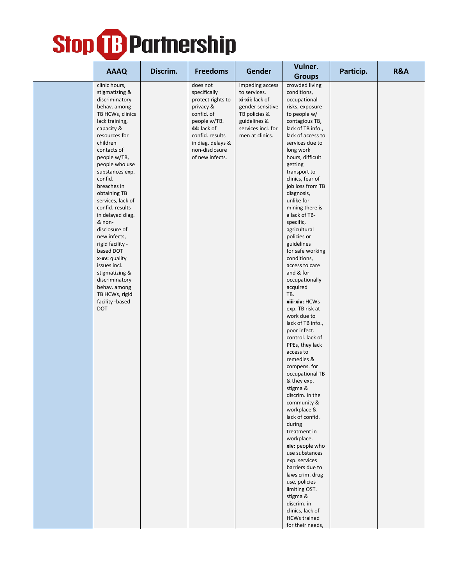|                                                                                                                                                                                                                                                                                                                                                                                                                                                                                                                                                  |          |                                                                                                                                                                                      |                                                                                                                                                  | Vulner.                                                                                                                                                                                                                                                                                                                                                                                                                                                                                                                                                                                                                                                                                                                                                                                                                                                                                                                                                                                                                                                           |           |     |
|--------------------------------------------------------------------------------------------------------------------------------------------------------------------------------------------------------------------------------------------------------------------------------------------------------------------------------------------------------------------------------------------------------------------------------------------------------------------------------------------------------------------------------------------------|----------|--------------------------------------------------------------------------------------------------------------------------------------------------------------------------------------|--------------------------------------------------------------------------------------------------------------------------------------------------|-------------------------------------------------------------------------------------------------------------------------------------------------------------------------------------------------------------------------------------------------------------------------------------------------------------------------------------------------------------------------------------------------------------------------------------------------------------------------------------------------------------------------------------------------------------------------------------------------------------------------------------------------------------------------------------------------------------------------------------------------------------------------------------------------------------------------------------------------------------------------------------------------------------------------------------------------------------------------------------------------------------------------------------------------------------------|-----------|-----|
| <b>AAAQ</b>                                                                                                                                                                                                                                                                                                                                                                                                                                                                                                                                      | Discrim. | <b>Freedoms</b>                                                                                                                                                                      | Gender                                                                                                                                           | <b>Groups</b>                                                                                                                                                                                                                                                                                                                                                                                                                                                                                                                                                                                                                                                                                                                                                                                                                                                                                                                                                                                                                                                     | Particip. | R&A |
| clinic hours,<br>stigmatizing &<br>discriminatory<br>behav. among<br>TB HCWs, clinics<br>lack training,<br>capacity &<br>resources for<br>children<br>contacts of<br>people w/TB,<br>people who use<br>substances exp.<br>confid.<br>breaches in<br>obtaining TB<br>services, lack of<br>confid. results<br>in delayed diag.<br>& non-<br>disclosure of<br>new infects,<br>rigid facility -<br>based DOT<br>x-xv: quality<br>issues incl.<br>stigmatizing &<br>discriminatory<br>behav. among<br>TB HCWs, rigid<br>facility -based<br><b>DOT</b> |          | does not<br>specifically<br>protect rights to<br>privacy &<br>confid. of<br>people w/TB.<br>44: lack of<br>confid. results<br>in diag. delays &<br>non-disclosure<br>of new infects. | impeding access<br>to services.<br>xi-xii: lack of<br>gender sensitive<br>TB policies &<br>guidelines &<br>services incl. for<br>men at clinics. | crowded living<br>conditions,<br>occupational<br>risks, exposure<br>to people w/<br>contagious TB,<br>lack of TB info.,<br>lack of access to<br>services due to<br>long work<br>hours, difficult<br>getting<br>transport to<br>clinics, fear of<br>job loss from TB<br>diagnosis,<br>unlike for<br>mining there is<br>a lack of TB-<br>specific,<br>agricultural<br>policies or<br>guidelines<br>for safe working<br>conditions,<br>access to care<br>and & for<br>occupationally<br>acquired<br>TB.<br>xiii-xiv: HCWs<br>exp. TB risk at<br>work due to<br>lack of TB info.,<br>poor infect.<br>control. lack of<br>PPEs, they lack<br>access to<br>remedies &<br>compens. for<br>occupational TB<br>& they exp.<br>stigma &<br>discrim. in the<br>community &<br>workplace &<br>lack of confid.<br>during<br>treatment in<br>workplace.<br>xiv: people who<br>use substances<br>exp. services<br>barriers due to<br>laws crim. drug<br>use, policies<br>limiting OST.<br>stigma &<br>discrim. in<br>clinics, lack of<br><b>HCWs trained</b><br>for their needs, |           |     |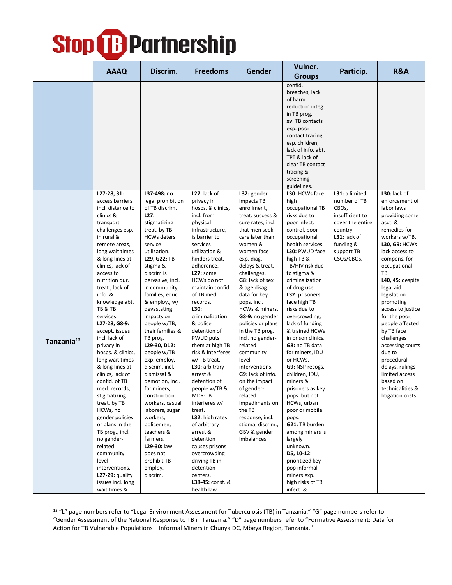|                        | <b>AAAQ</b>                                                                                                                                                                                                                                                                                                                                                                                                                                                                                                                                                                                                                                                                                                         | Discrim.                                                                                                                                                                                                                                                                                                                                                                                                                                                                                                                                                                                                                                 | <b>Freedoms</b>                                                                                                                                                                                                                                                                                                                                                                                                                                                                                                                                                                                                                                                       | <b>Gender</b>                                                                                                                                                                                                                                                                                                                                                                                                                                                                                                                                                                          | Vulner.                                                                                                                                                                                                                                                                                                                                                                                                                                                                                                                                                                                                                                                                                                        | Particip.                                                                                                                                             | R&A                                                                                                                                                                                                                                                                                                                                                                                                                                                                                   |
|------------------------|---------------------------------------------------------------------------------------------------------------------------------------------------------------------------------------------------------------------------------------------------------------------------------------------------------------------------------------------------------------------------------------------------------------------------------------------------------------------------------------------------------------------------------------------------------------------------------------------------------------------------------------------------------------------------------------------------------------------|------------------------------------------------------------------------------------------------------------------------------------------------------------------------------------------------------------------------------------------------------------------------------------------------------------------------------------------------------------------------------------------------------------------------------------------------------------------------------------------------------------------------------------------------------------------------------------------------------------------------------------------|-----------------------------------------------------------------------------------------------------------------------------------------------------------------------------------------------------------------------------------------------------------------------------------------------------------------------------------------------------------------------------------------------------------------------------------------------------------------------------------------------------------------------------------------------------------------------------------------------------------------------------------------------------------------------|----------------------------------------------------------------------------------------------------------------------------------------------------------------------------------------------------------------------------------------------------------------------------------------------------------------------------------------------------------------------------------------------------------------------------------------------------------------------------------------------------------------------------------------------------------------------------------------|----------------------------------------------------------------------------------------------------------------------------------------------------------------------------------------------------------------------------------------------------------------------------------------------------------------------------------------------------------------------------------------------------------------------------------------------------------------------------------------------------------------------------------------------------------------------------------------------------------------------------------------------------------------------------------------------------------------|-------------------------------------------------------------------------------------------------------------------------------------------------------|---------------------------------------------------------------------------------------------------------------------------------------------------------------------------------------------------------------------------------------------------------------------------------------------------------------------------------------------------------------------------------------------------------------------------------------------------------------------------------------|
|                        |                                                                                                                                                                                                                                                                                                                                                                                                                                                                                                                                                                                                                                                                                                                     |                                                                                                                                                                                                                                                                                                                                                                                                                                                                                                                                                                                                                                          |                                                                                                                                                                                                                                                                                                                                                                                                                                                                                                                                                                                                                                                                       |                                                                                                                                                                                                                                                                                                                                                                                                                                                                                                                                                                                        | <b>Groups</b>                                                                                                                                                                                                                                                                                                                                                                                                                                                                                                                                                                                                                                                                                                  |                                                                                                                                                       |                                                                                                                                                                                                                                                                                                                                                                                                                                                                                       |
|                        |                                                                                                                                                                                                                                                                                                                                                                                                                                                                                                                                                                                                                                                                                                                     |                                                                                                                                                                                                                                                                                                                                                                                                                                                                                                                                                                                                                                          |                                                                                                                                                                                                                                                                                                                                                                                                                                                                                                                                                                                                                                                                       |                                                                                                                                                                                                                                                                                                                                                                                                                                                                                                                                                                                        | confid.<br>breaches, lack<br>of harm<br>reduction integ.<br>in TB prog.<br>xv: TB contacts<br>exp. poor<br>contact tracing<br>esp. children,<br>lack of info. abt.<br>TPT & lack of<br>clear TB contact<br>tracing &<br>screening<br>guidelines.                                                                                                                                                                                                                                                                                                                                                                                                                                                               |                                                                                                                                                       |                                                                                                                                                                                                                                                                                                                                                                                                                                                                                       |
| Tanzania <sup>13</sup> | L27-28, 31:<br>access barriers<br>incl. distance to<br>clinics &<br>transport<br>challenges esp.<br>in rural &<br>remote areas,<br>long wait times<br>& long lines at<br>clinics, lack of<br>access to<br>nutrition dur.<br>treat., lack of<br>info. &<br>knowledge abt.<br>TB & TB<br>services.<br>L27-28, G8-9:<br>accept. issues<br>incl. lack of<br>privacy in<br>hosps. & clinics,<br>long wait times<br>& long lines at<br>clinics, lack of<br>confid. of TB<br>med. records,<br>stigmatizing<br>treat. by TB<br>HCWs, no<br>gender policies<br>or plans in the<br>TB prog., incl.<br>no gender-<br>related<br>community<br>level<br>interventions.<br>$L27-29:$ quality<br>issues incl. long<br>wait times & | L37-498: no<br>legal prohibition<br>of TB discrim.<br>L27:<br>stigmatizing<br>treat. by TB<br><b>HCWs deters</b><br>service<br>utilization.<br>L29, G22: TB<br>stigma &<br>discrim is<br>pervasive, incl.<br>in community,<br>families, educ.<br>& employ., w/<br>devastating<br>impacts on<br>people w/TB,<br>their families &<br>TB prog.<br>L29-30, D12:<br>people w/TB<br>exp. employ.<br>discrim. incl.<br>dismissal &<br>demotion, incl.<br>for miners,<br>construction<br>workers, casual<br>laborers, sugar<br>workers,<br>policemen,<br>teachers &<br>farmers.<br>L29-30: law<br>does not<br>prohibit TB<br>employ.<br>discrim. | L27: lack of<br>privacy in<br>hosps. & clinics,<br>incl. from<br>physical<br>infrastructure,<br>is barrier to<br>services<br>utilization &<br>hinders treat.<br>adherence.<br>L27: some<br>HCWs do not<br>maintain confid.<br>of TB med.<br>records.<br>L30:<br>criminalization<br>& police<br>detention of<br><b>PWUD puts</b><br>them at high TB<br>risk & interferes<br>w/ TB treat.<br>L30: arbitrary<br>arrest &<br>detention of<br>people w/TB &<br>MDR-TB<br>interferes w/<br>treat.<br>L32: high rates<br>of arbitrary<br>arrest &<br>detention<br>causes prisons<br>overcrowding<br>driving TB in<br>detention<br>centers.<br>L38-45: const. &<br>health law | L32: gender<br>impacts TB<br>enrollment,<br>treat. success &<br>cure rates, incl.<br>that men seek<br>care later than<br>women &<br>women face<br>exp. diag.<br>delays & treat.<br>challenges.<br>G8: lack of sex<br>& age disag.<br>data for key<br>pops. incl.<br>HCWs & miners.<br>G8-9: no gender<br>policies or plans<br>in the TB prog.<br>incl. no gender-<br>related<br>community<br>level<br>interventions.<br>G9: lack of info.<br>on the impact<br>of gender-<br>related<br>impediments on<br>the TB<br>response, incl.<br>stigma, discrim.,<br>GBV & gender<br>imbalances. | L30: HCWs face<br>high<br>occupational TB<br>risks due to<br>poor infect.<br>control, poor<br>occupational<br>health services.<br>L30: PWUD face<br>high TB &<br>TB/HIV risk due<br>to stigma &<br>criminalization<br>of drug use.<br>L32: prisoners<br>face high TB<br>risks due to<br>overcrowding,<br>lack of funding<br>& trained HCWs<br>in prison clinics.<br>G8: no TB data<br>for miners, IDU<br>or HCWs.<br>G9: NSP recogs.<br>children, IDU,<br>miners &<br>prisoners as key<br>pops. but not<br>HCWs, urban<br>poor or mobile<br>pops.<br>G21: TB burden<br>among miners is<br>largely<br>unknown.<br>D5, 10-12:<br>prioritized key<br>pop informal<br>miners exp.<br>high risks of TB<br>infect. & | L31: a limited<br>number of TB<br>CBOs,<br>insufficient to<br>cover the entire<br>country.<br>$L31:$ lack of<br>funding &<br>support TB<br>CSOs/CBOs. | $L30:$ lack of<br>enforcement of<br>labor laws<br>providing some<br>acct. &<br>remedies for<br>workers w/TB.<br><b>L30, G9: HCWs</b><br>lack access to<br>compens. for<br>occupational<br>TB.<br>L40, 45: despite<br>legal aid<br>legislation<br>promoting<br>access to justice<br>for the poor,<br>people affected<br>by TB face<br>challenges<br>accessing courts<br>due to<br>procedural<br>delays, rulings<br>limited access<br>based on<br>technicalities &<br>litigation costs. |

<sup>&</sup>lt;sup>13</sup> "L" page numbers refer to "Legal Environment Assessment for Tuberculosis (TB) in Tanzania." "G" page numbers refer to "Gender Assessment of the National Response to TB in Tanzania." "D" page numbers refer to "Formative Assessment: Data for Action for TB Vulnerable Populations – Informal Miners in Chunya DC, Mbeya Region, Tanzania."